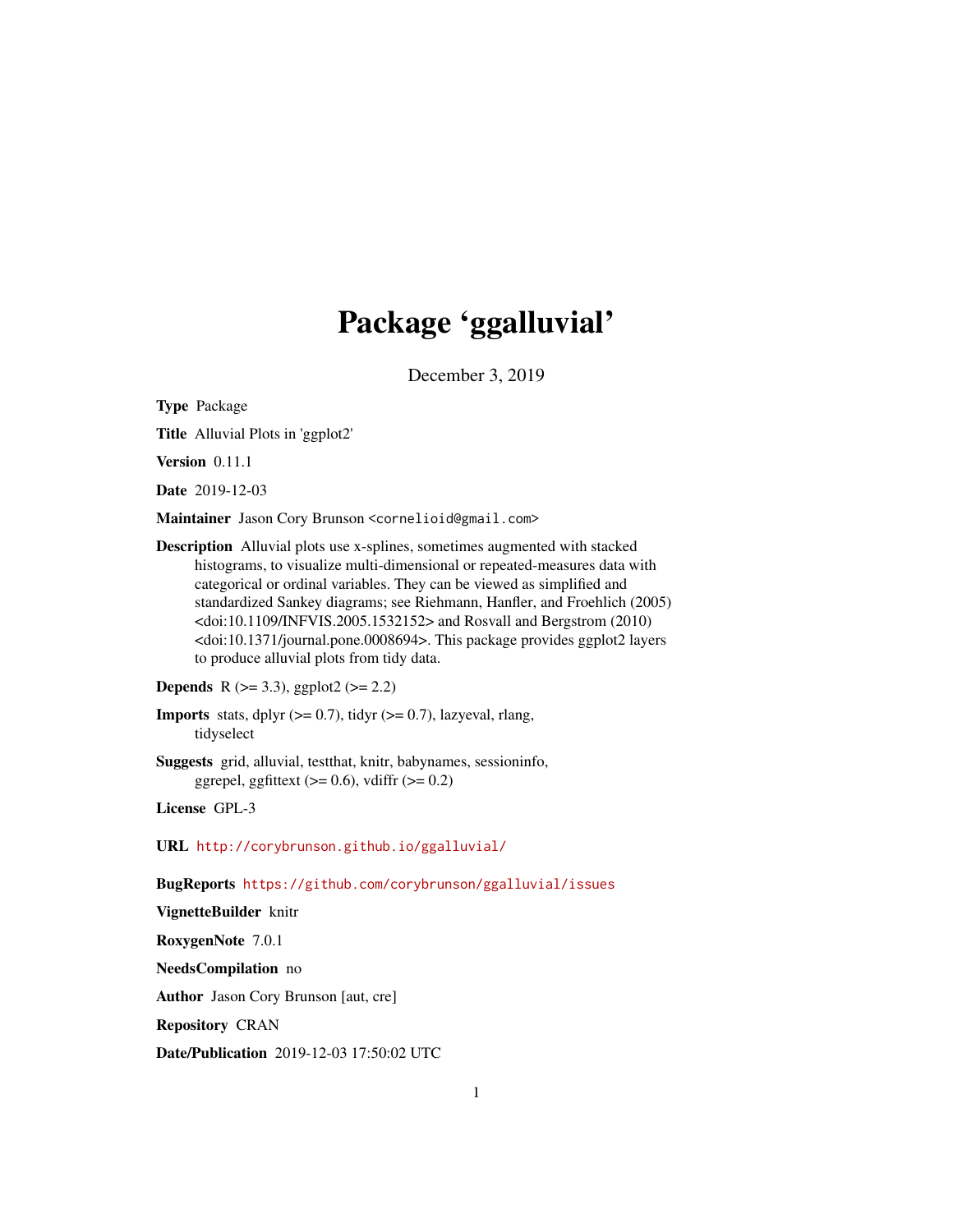# Package 'ggalluvial'

December 3, 2019

<span id="page-0-0"></span>Type Package

Title Alluvial Plots in 'ggplot2'

Version 0.11.1

Date 2019-12-03

Maintainer Jason Cory Brunson <cornelioid@gmail.com>

Description Alluvial plots use x-splines, sometimes augmented with stacked histograms, to visualize multi-dimensional or repeated-measures data with categorical or ordinal variables. They can be viewed as simplified and standardized Sankey diagrams; see Riehmann, Hanfler, and Froehlich (2005) <doi:10.1109/INFVIS.2005.1532152> and Rosvall and Bergstrom (2010) <doi:10.1371/journal.pone.0008694>. This package provides ggplot2 layers to produce alluvial plots from tidy data.

**Depends** R ( $>= 3.3$ ), ggplot2 ( $>= 2.2$ )

**Imports** stats, dplyr  $(>= 0.7)$ , tidyr  $(>= 0.7)$ , lazyeval, rlang, tidyselect

Suggests grid, alluvial, testthat, knitr, babynames, sessioninfo, ggrepel, ggfittext  $(>= 0.6)$ , vdiffr  $(>= 0.2)$ 

License GPL-3

URL <http://corybrunson.github.io/ggalluvial/>

BugReports <https://github.com/corybrunson/ggalluvial/issues>

VignetteBuilder knitr

RoxygenNote 7.0.1

NeedsCompilation no

Author Jason Cory Brunson [aut, cre]

Repository CRAN

Date/Publication 2019-12-03 17:50:02 UTC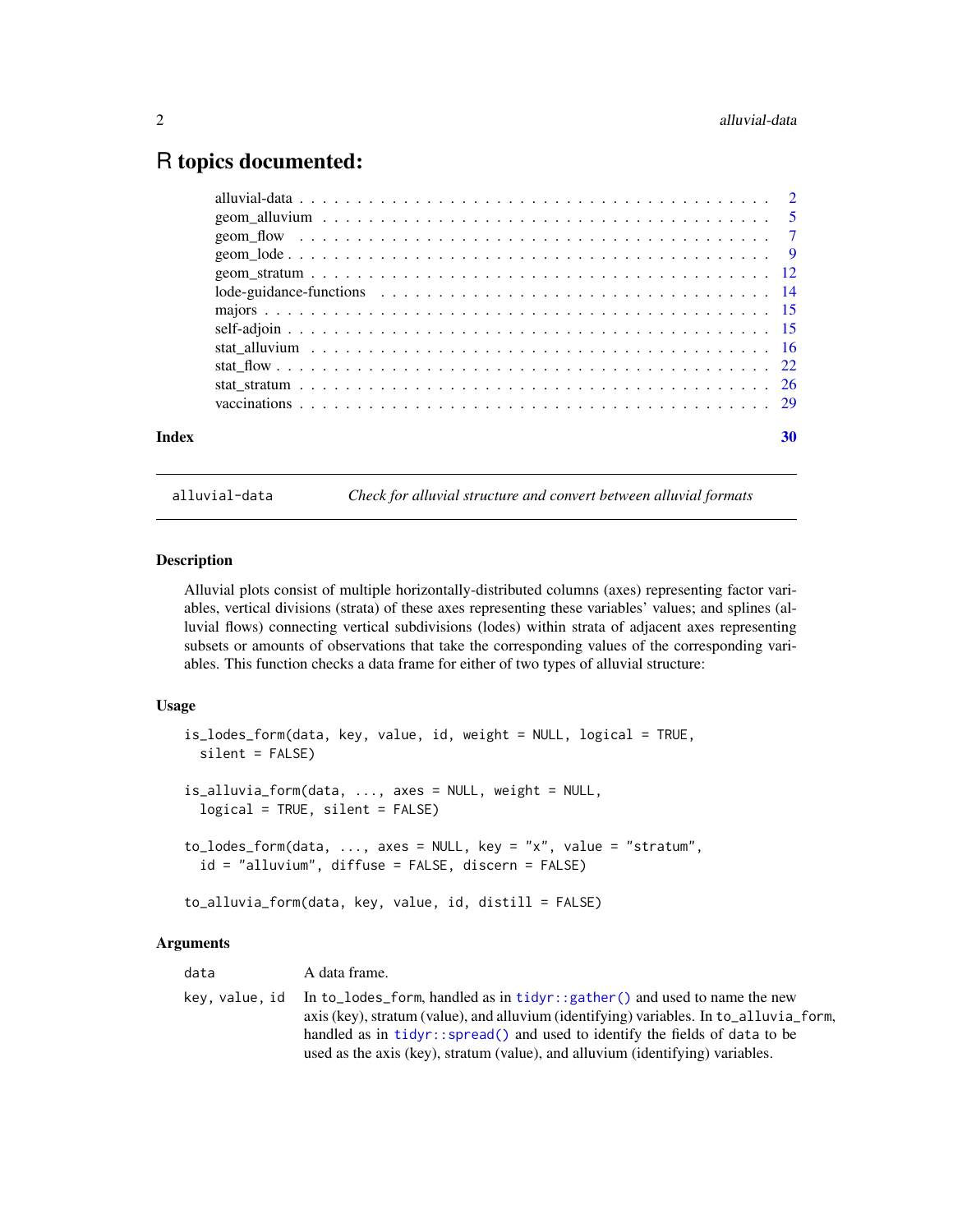# <span id="page-1-0"></span>R topics documented:

| Index | 30 |
|-------|----|

<span id="page-1-1"></span>alluvial-data *Check for alluvial structure and convert between alluvial formats*

#### <span id="page-1-2"></span>Description

Alluvial plots consist of multiple horizontally-distributed columns (axes) representing factor variables, vertical divisions (strata) of these axes representing these variables' values; and splines (alluvial flows) connecting vertical subdivisions (lodes) within strata of adjacent axes representing subsets or amounts of observations that take the corresponding values of the corresponding variables. This function checks a data frame for either of two types of alluvial structure:

#### Usage

```
is_lodes_form(data, key, value, id, weight = NULL, logical = TRUE,
  silent = FALSE)
is_alluvia_form(data, \dots, axes = NULL, weight = NULL,
  logical = TRUE, silent = FALSE)
to_lodes_form(data, ..., axes = NULL, key = "x", value = "stratum",
  id = "alluvium", diffuse = FALSE, discern = FALSE)
to_alluvia_form(data, key, value, id, distill = FALSE)
```

| data | A data frame.                                                                                                                                                                                                                                                                                                                                          |
|------|--------------------------------------------------------------------------------------------------------------------------------------------------------------------------------------------------------------------------------------------------------------------------------------------------------------------------------------------------------|
|      | key, value, id In to_lodes_form, handled as in tidyr:: gather() and used to name the new<br>axis (key), stratum (value), and alluvium (identifying) variables. In to_alluvia_form,<br>handled as in $tidyr$ : spread() and used to identify the fields of data to be<br>used as the axis (key), stratum (value), and alluvium (identifying) variables. |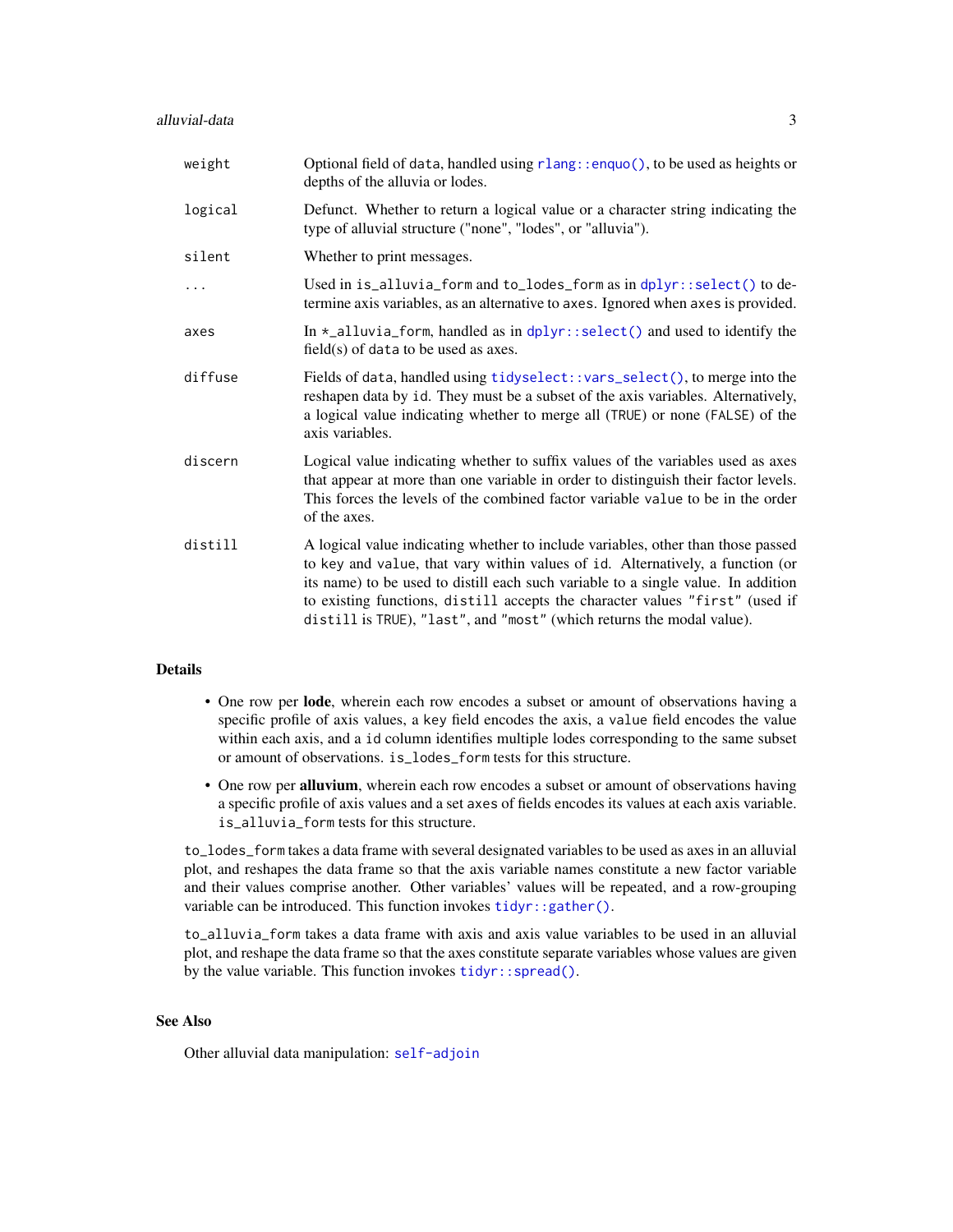<span id="page-2-0"></span>

| Optional field of data, handled using rlang::enquo(), to be used as heights or<br>depths of the alluvia or lodes.                                                                                                                                                                                                                                                                                                |
|------------------------------------------------------------------------------------------------------------------------------------------------------------------------------------------------------------------------------------------------------------------------------------------------------------------------------------------------------------------------------------------------------------------|
| Defunct. Whether to return a logical value or a character string indicating the<br>type of alluvial structure ("none", "lodes", or "alluvia").                                                                                                                                                                                                                                                                   |
| Whether to print messages.                                                                                                                                                                                                                                                                                                                                                                                       |
| Used in is_alluvia_form and to_lodes_form as in dplyr::select() to de-<br>termine axis variables, as an alternative to axes. Ignored when axes is provided.                                                                                                                                                                                                                                                      |
| In $*$ _alluvia_form, handled as in $d$ plyr::select() and used to identify the<br>field(s) of data to be used as axes.                                                                                                                                                                                                                                                                                          |
| Fields of data, handled using tidyselect:: vars_select(), to merge into the<br>reshapen data by id. They must be a subset of the axis variables. Alternatively,<br>a logical value indicating whether to merge all (TRUE) or none (FALSE) of the<br>axis variables.                                                                                                                                              |
| Logical value indicating whether to suffix values of the variables used as axes<br>that appear at more than one variable in order to distinguish their factor levels.<br>This forces the levels of the combined factor variable value to be in the order<br>of the axes.                                                                                                                                         |
| A logical value indicating whether to include variables, other than those passed<br>to key and value, that vary within values of id. Alternatively, a function (or<br>its name) to be used to distill each such variable to a single value. In addition<br>to existing functions, distill accepts the character values "first" (used if<br>distill is TRUE), "last", and "most" (which returns the modal value). |
|                                                                                                                                                                                                                                                                                                                                                                                                                  |

#### Details

- One row per lode, wherein each row encodes a subset or amount of observations having a specific profile of axis values, a key field encodes the axis, a value field encodes the value within each axis, and a id column identifies multiple lodes corresponding to the same subset or amount of observations. is\_lodes\_form tests for this structure.
- One row per alluvium, wherein each row encodes a subset or amount of observations having a specific profile of axis values and a set axes of fields encodes its values at each axis variable. is\_alluvia\_form tests for this structure.

to\_lodes\_form takes a data frame with several designated variables to be used as axes in an alluvial plot, and reshapes the data frame so that the axis variable names constitute a new factor variable and their values comprise another. Other variables' values will be repeated, and a row-grouping variable can be introduced. This function invokes  $\text{tidyr}:$  gather().

to\_alluvia\_form takes a data frame with axis and axis value variables to be used in an alluvial plot, and reshape the data frame so that the axes constitute separate variables whose values are given by the value variable. This function invokes [tidyr::spread\(\)](#page-0-0).

# See Also

Other alluvial data manipulation: [self-adjoin](#page-14-1)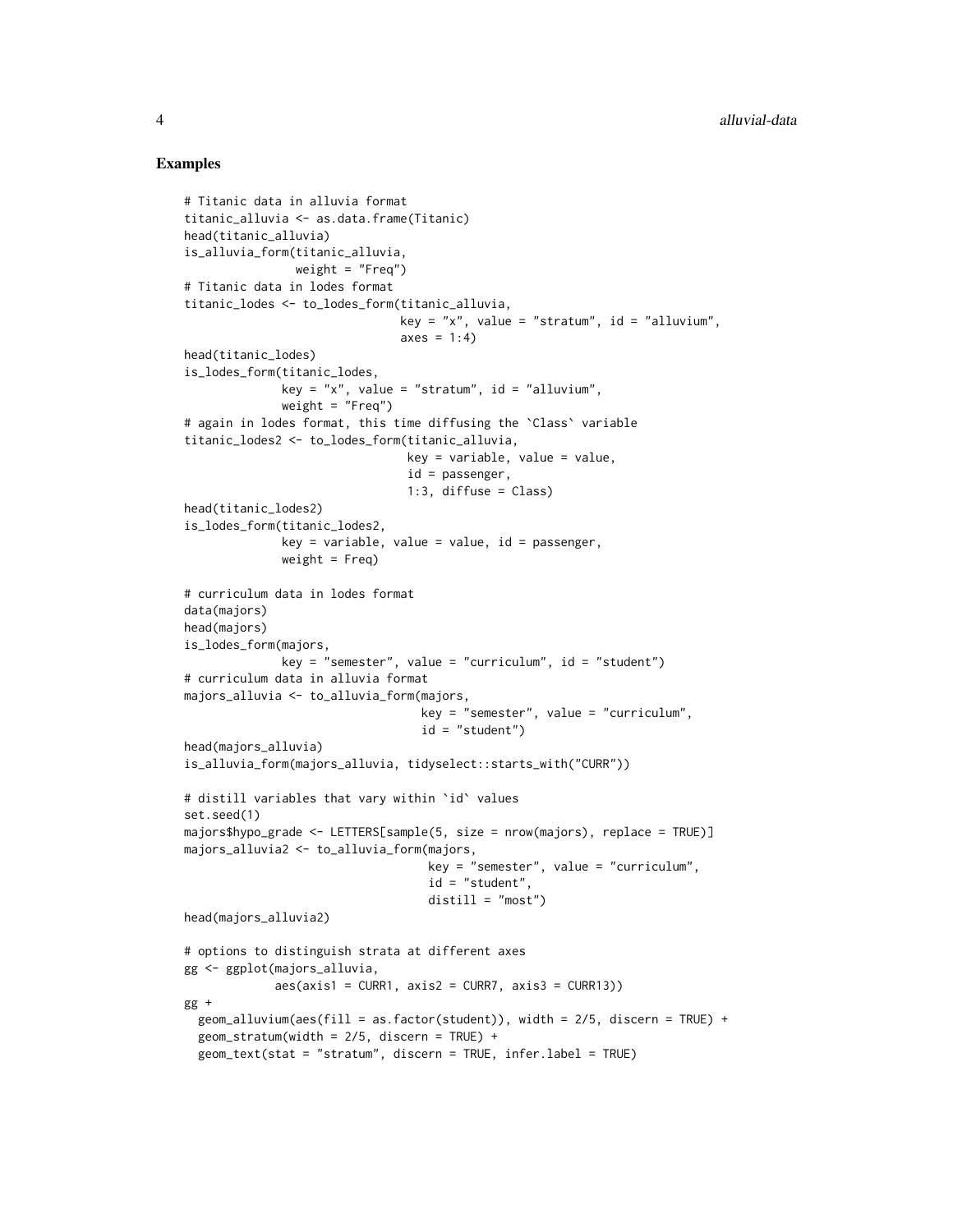```
# Titanic data in alluvia format
titanic_alluvia <- as.data.frame(Titanic)
head(titanic_alluvia)
is_alluvia_form(titanic_alluvia,
                weight = "Freq")# Titanic data in lodes format
titanic_lodes <- to_lodes_form(titanic_alluvia,
                               key = "x", value = "stratum", id = "alluvium",axes = 1:4)
head(titanic_lodes)
is_lodes_form(titanic_lodes,
             key = "x", value = "stratum", id = "alluvium",
              weight = "Freq")
# again in lodes format, this time diffusing the `Class` variable
titanic_lodes2 <- to_lodes_form(titanic_alluvia,
                                key = variable, value = value,
                                id = passenger,
                                1:3, diffuse = Class)
head(titanic_lodes2)
is_lodes_form(titanic_lodes2,
             key = variable, value = value, id = passenger,weight = Freq# curriculum data in lodes format
data(majors)
head(majors)
is_lodes_form(majors,
             key = "semester", value = "curriculum", id = "student")# curriculum data in alluvia format
majors_alluvia <- to_alluvia_form(majors,
                                  key = "semester", value = "curriculum",
                                  id = "student")head(majors_alluvia)
is_alluvia_form(majors_alluvia, tidyselect::starts_with("CURR"))
# distill variables that vary within `id` values
set.seed(1)
majors$hypo_grade <- LETTERS[sample(5, size = nrow(majors), replace = TRUE)]
majors_alluvia2 <- to_alluvia_form(majors,
                                   key = "semester", value = "curriculum",
                                   id = "student",
                                   distill = "most")
head(majors_alluvia2)
# options to distinguish strata at different axes
gg <- ggplot(majors_alluvia,
             aes(axis1 = CURR1, axis2 = CURR7, axis3 = CURR13))gg +
 geom_alluvium(aes(fill = as.factor(student)), width = 2/5, discern = TRUE) +
 geom\_stratum(width = 2/5, discern = TRUE) +geom_text(stat = "stratum", discern = TRUE, infer.label = TRUE)
```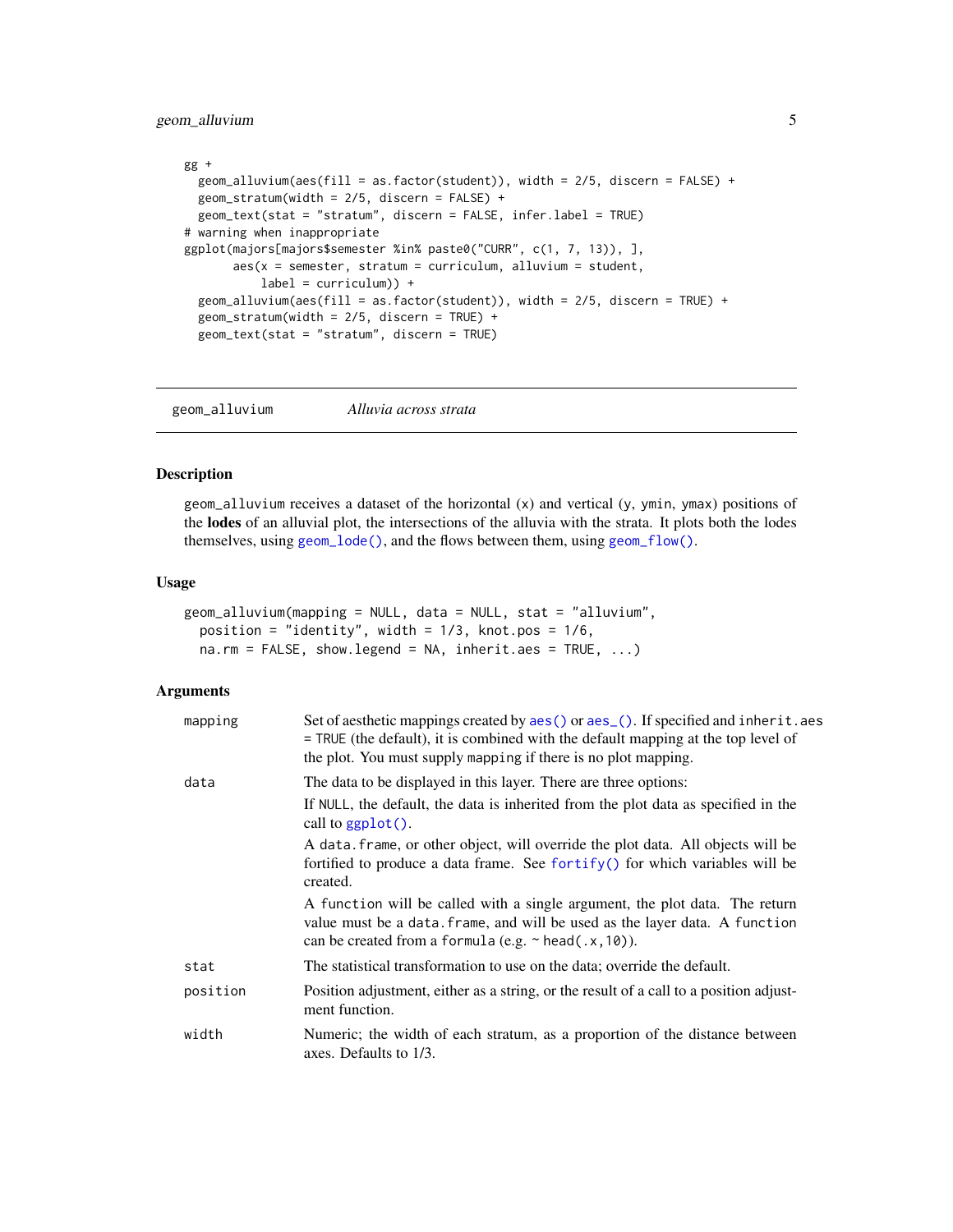# <span id="page-4-0"></span>geom\_alluvium 5

```
gg +
  geom_alluvium(aes(fill = as.factor(student)), width = 2/5, discern = FALSE) +
  geom_stratum(width = 2/5, discern = FALSE) +
  geom_text(stat = "stratum", discern = FALSE, infer.label = TRUE)
# warning when inappropriate
ggplot(majors[majors$semester %in% paste0("CURR", c(1, 7, 13)), ],
       aes(x = semester, stratum = curriculum, alluvium = student,label = currentculum) +geom_alluvium(aes(fill = as.factor(student)), width = 2/5, discern = TRUE) +
  geom_stratum(width = 2/5, discern = TRUE) +
  geom_text(stat = "stratum", discern = TRUE)
```
<span id="page-4-1"></span>geom\_alluvium *Alluvia across strata*

#### Description

geom\_alluvium receives a dataset of the horizontal (x) and vertical (y, ymin, ymax) positions of the lodes of an alluvial plot, the intersections of the alluvia with the strata. It plots both the lodes themselves, using [geom\\_lode\(\)](#page-8-1), and the flows between them, using [geom\\_flow\(\)](#page-6-1).

#### Usage

```
geom_alluvium(mapping = NULL, data = NULL, stat = "alluvium",
 position = "identity", width = 1/3, knot.pos = 1/6,
 na.rm = FALSE, show.legend = NA, inherit.aes = TRUE, ...)
```

| mapping  | Set of aesthetic mappings created by aes () or aes (). If specified and inherit. aes<br>= TRUE (the default), it is combined with the default mapping at the top level of<br>the plot. You must supply mapping if there is no plot mapping. |
|----------|---------------------------------------------------------------------------------------------------------------------------------------------------------------------------------------------------------------------------------------------|
| data     | The data to be displayed in this layer. There are three options:                                                                                                                                                                            |
|          | If NULL, the default, the data is inherited from the plot data as specified in the<br>call to $ggplot()$ .                                                                                                                                  |
|          | A data, frame, or other object, will override the plot data. All objects will be<br>fortified to produce a data frame. See fortify() for which variables will be<br>created.                                                                |
|          | A function will be called with a single argument, the plot data. The return<br>value must be a data. frame, and will be used as the layer data. A function<br>can be created from a formula (e.g. $\sim$ head(.x, 10)).                     |
| stat     | The statistical transformation to use on the data; override the default.                                                                                                                                                                    |
| position | Position adjustment, either as a string, or the result of a call to a position adjust-<br>ment function.                                                                                                                                    |
| width    | Numeric; the width of each stratum, as a proportion of the distance between<br>axes. Defaults to 1/3.                                                                                                                                       |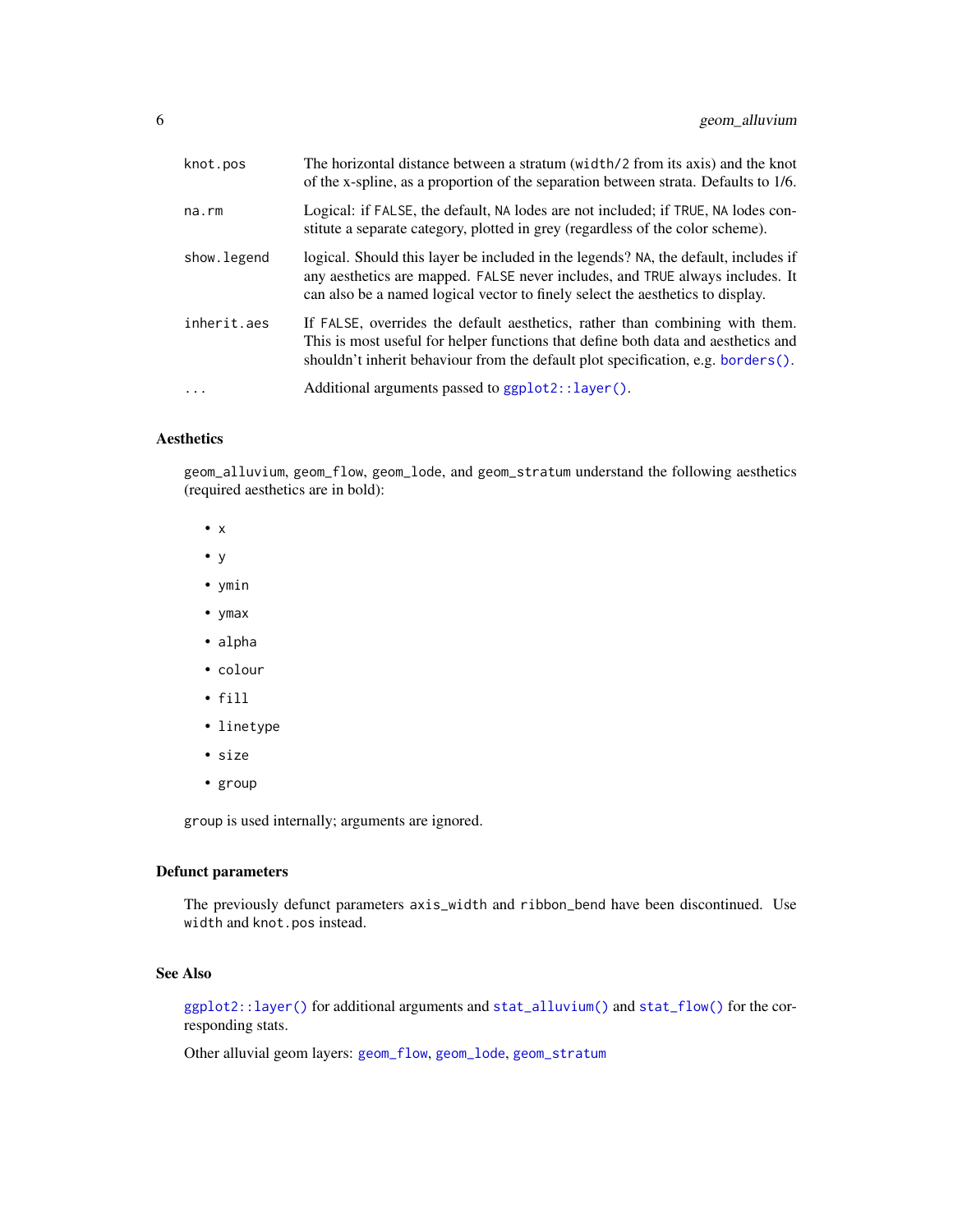<span id="page-5-0"></span>

| knot.pos    | The horizontal distance between a stratum (width/2 from its axis) and the knot<br>of the x-spline, as a proportion of the separation between strata. Defaults to 1/6.                                                                                     |
|-------------|-----------------------------------------------------------------------------------------------------------------------------------------------------------------------------------------------------------------------------------------------------------|
| na.rm       | Logical: if FALSE, the default, NA lodes are not included; if TRUE, NA lodes con-<br>stitute a separate category, plotted in grey (regardless of the color scheme).                                                                                       |
| show.legend | logical. Should this layer be included in the legends? NA, the default, includes if<br>any aesthetics are mapped. FALSE never includes, and TRUE always includes. It<br>can also be a named logical vector to finely select the aesthetics to display.    |
| inherit.aes | If FALSE, overrides the default aesthetics, rather than combining with them.<br>This is most useful for helper functions that define both data and aesthetics and<br>shouldn't inherit behaviour from the default plot specification, e.g. borders $()$ . |
| $\ddots$    | Additional arguments passed to $ggplot2::layer()$ .                                                                                                                                                                                                       |
|             |                                                                                                                                                                                                                                                           |

# Aesthetics

geom\_alluvium, geom\_flow, geom\_lode, and geom\_stratum understand the following aesthetics (required aesthetics are in bold):

- x
- y
- ymin
- ymax
- alpha
- colour
- fill
- linetype
- size
- group

group is used internally; arguments are ignored.

# Defunct parameters

The previously defunct parameters axis\_width and ribbon\_bend have been discontinued. Use width and knot.pos instead.

# See Also

[ggplot2::layer\(\)](#page-0-0) for additional arguments and [stat\\_alluvium\(\)](#page-15-1) and [stat\\_flow\(\)](#page-21-1) for the corresponding stats.

Other alluvial geom layers: [geom\\_flow](#page-6-1), [geom\\_lode](#page-8-1), [geom\\_stratum](#page-11-1)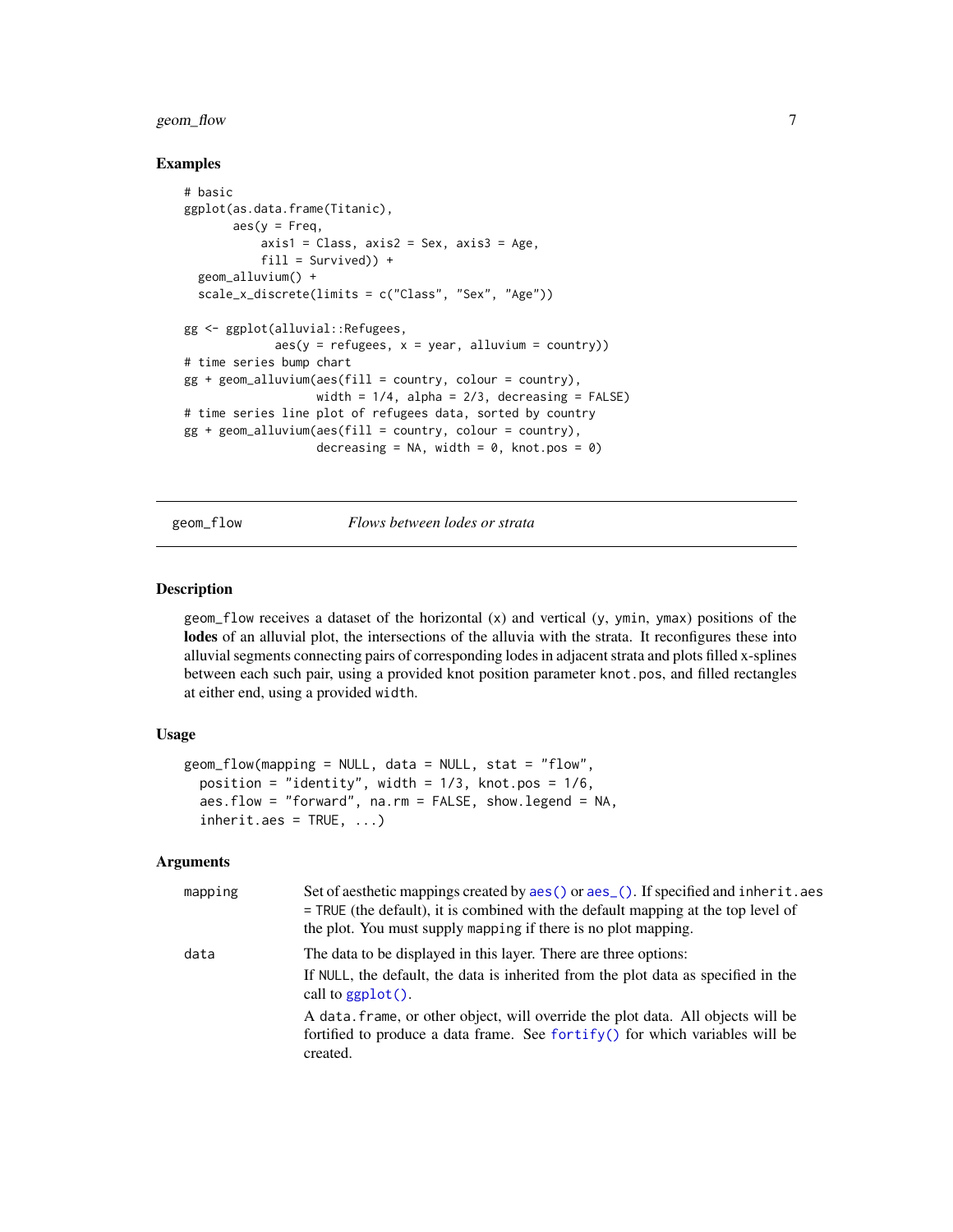# <span id="page-6-0"></span>geom\_flow 7

#### Examples

```
# basic
ggplot(as.data.frame(Titanic),
       \text{aes}(y = \text{Freq})axis1 = Class, axis2 = Sex, axis3 = Age,fill = Survived)) +
 geom_alluvium() +
 scale_x_discrete(limits = c("Class", "Sex", "Age"))
gg <- ggplot(alluvial::Refugees,
             aes(y = refugees, x = year, alluvium = country))# time series bump chart
gg + geom\_alluvium(aes(fill = country, colour = country),width = 1/4, alpha = 2/3, decreasing = FALSE)
# time series line plot of refugees data, sorted by country
gg + geom\_alluvium(aes(fill = country, colour = country),decreasing = NA, width = 0, knot.pos = 0)
```
<span id="page-6-1"></span>geom\_flow *Flows between lodes or strata*

#### Description

geom\_flow receives a dataset of the horizontal (x) and vertical (y, ymin, ymax) positions of the lodes of an alluvial plot, the intersections of the alluvia with the strata. It reconfigures these into alluvial segments connecting pairs of corresponding lodes in adjacent strata and plots filled x-splines between each such pair, using a provided knot position parameter knot.pos, and filled rectangles at either end, using a provided width.

# Usage

```
geom_flow(mapping = NULL, data = NULL, stat = "flow",
 position = "identity", width = 1/3, knot.pos = 1/6,
  aes.flow = "forward", na.rm = FALSE, show.legend = NA,
  inherit.aes = TRUE, ...
```

| mapping | Set of aesthetic mappings created by aes () or aes (). If specified and inherit. aes<br>= TRUE (the default), it is combined with the default mapping at the top level of<br>the plot. You must supply mapping if there is no plot mapping. |
|---------|---------------------------------------------------------------------------------------------------------------------------------------------------------------------------------------------------------------------------------------------|
| data    | The data to be displayed in this layer. There are three options:<br>If NULL, the default, the data is inherited from the plot data as specified in the<br>call to $ggplot()$ .                                                              |
|         | A data frame, or other object, will override the plot data. All objects will be<br>fortified to produce a data frame. See fortify() for which variables will be<br>created.                                                                 |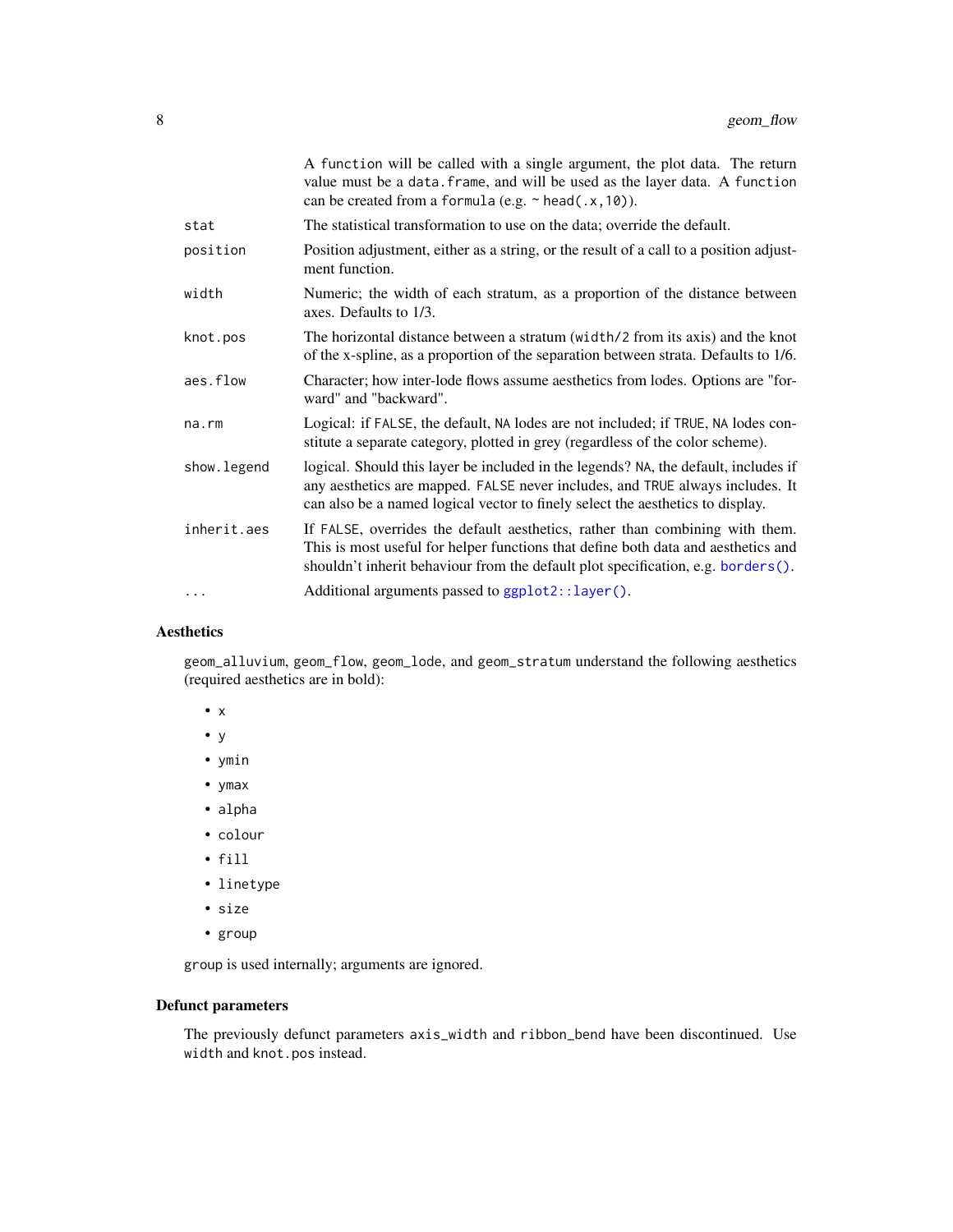<span id="page-7-0"></span>

|              | A function will be called with a single argument, the plot data. The return<br>value must be a data. frame, and will be used as the layer data. A function<br>can be created from a formula (e.g. $\sim$ head(.x, 10)).                                |
|--------------|--------------------------------------------------------------------------------------------------------------------------------------------------------------------------------------------------------------------------------------------------------|
| stat         | The statistical transformation to use on the data; override the default.                                                                                                                                                                               |
| position     | Position adjustment, either as a string, or the result of a call to a position adjust-<br>ment function.                                                                                                                                               |
| width        | Numeric; the width of each stratum, as a proportion of the distance between<br>axes. Defaults to 1/3.                                                                                                                                                  |
| knot.pos     | The horizontal distance between a stratum (width/2 from its axis) and the knot<br>of the x-spline, as a proportion of the separation between strata. Defaults to 1/6.                                                                                  |
| aes.flow     | Character; how inter-lode flows assume aesthetics from lodes. Options are "for-<br>ward" and "backward".                                                                                                                                               |
| $na$ . $rm$  | Logical: if FALSE, the default, NA lodes are not included; if TRUE, NA lodes con-<br>stitute a separate category, plotted in grey (regardless of the color scheme).                                                                                    |
| show. legend | logical. Should this layer be included in the legends? NA, the default, includes if<br>any aesthetics are mapped. FALSE never includes, and TRUE always includes. It<br>can also be a named logical vector to finely select the aesthetics to display. |
| inherit.aes  | If FALSE, overrides the default aesthetics, rather than combining with them.<br>This is most useful for helper functions that define both data and aesthetics and<br>shouldn't inherit behaviour from the default plot specification, e.g. borders().  |
| .            | Additional arguments passed to ggplot2::layer().                                                                                                                                                                                                       |

# Aesthetics

geom\_alluvium, geom\_flow, geom\_lode, and geom\_stratum understand the following aesthetics (required aesthetics are in bold):

- x
- y
- ymin
- ymax
- alpha
- colour
- fill
- linetype
- size
- group

group is used internally; arguments are ignored.

# Defunct parameters

The previously defunct parameters axis\_width and ribbon\_bend have been discontinued. Use width and knot.pos instead.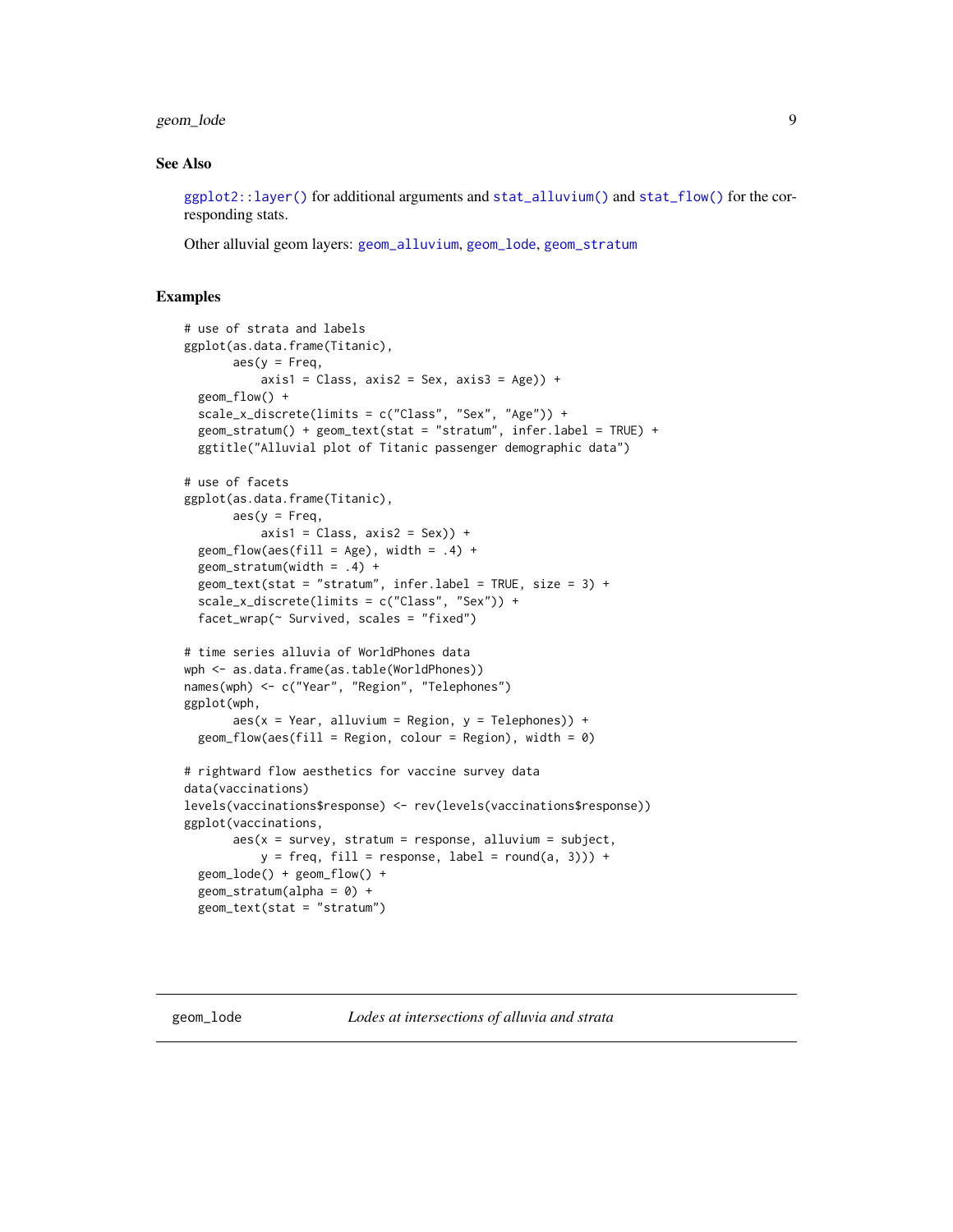#### <span id="page-8-0"></span>geom\_lode 9

#### See Also

[ggplot2::layer\(\)](#page-0-0) for additional arguments and [stat\\_alluvium\(\)](#page-15-1) and [stat\\_flow\(\)](#page-21-1) for the corresponding stats.

Other alluvial geom layers: [geom\\_alluvium](#page-4-1), [geom\\_lode](#page-8-1), [geom\\_stratum](#page-11-1)

```
# use of strata and labels
ggplot(as.data.frame(Titanic),
      aes(y = Freq,axis1 = Class, axis2 = Sex, axis3 = Age) +
 geom_flow() +
 scale_x_discrete(limits = c("Class", "Sex", "Age")) +
 geom_stratum() + geom_text(stat = "stratum", infer.label = TRUE) +
 ggtitle("Alluvial plot of Titanic passenger demographic data")
# use of facets
ggplot(as.data.frame(Titanic),
      \text{aes}(y = \text{Freq},axis1 = Class, axis2 = Sex) +
 geom_flow(aes(fill = Age), width = .4) +
 geom_stratum(width = .4) +
 geom_text(stat = "stratum", infer.label = TRUE, size = 3) +
 scale_x_discrete(limits = c("Class", "Sex")) +
 facet_wrap(~ Survived, scales = "fixed")
# time series alluvia of WorldPhones data
wph <- as.data.frame(as.table(WorldPhones))
names(wph) <- c("Year", "Region", "Telephones")
ggplot(wph,
      aes(x = Year, alluvium = Region, y = Telephones)) +geom_flow(aes(fill = Region, colour = Region), width = 0)
# rightward flow aesthetics for vaccine survey data
data(vaccinations)
levels(vaccinations$response) <- rev(levels(vaccinations$response))
ggplot(vaccinations,
      aes(x = survey, stratum = response, alluvium = subject,y = freq, fill = response, label = round(a, 3)) +geom_lode() + geom_flow() +
 geom_stratum(alpha = 0) +
 geom_text(stat = "stratum")
```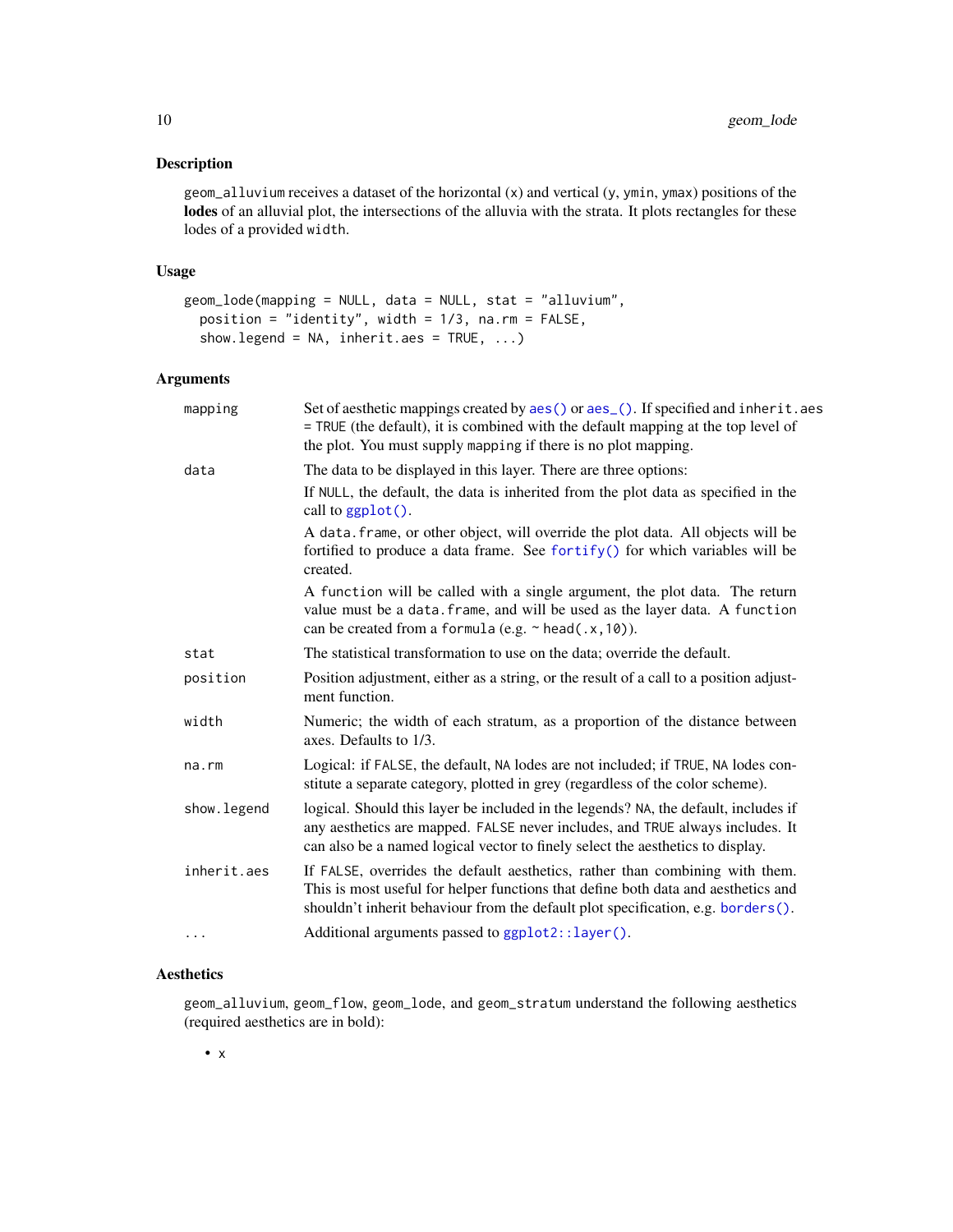# <span id="page-9-0"></span>Description

 $geom_a$ lluvium receives a dataset of the horizontal  $(x)$  and vertical  $(y, ymin, ymax)$  positions of the lodes of an alluvial plot, the intersections of the alluvia with the strata. It plots rectangles for these lodes of a provided width.

#### Usage

```
geom_lode(mapping = NULL, data = NULL, stat = "alluvium",
 position = "identity", width = 1/3, na.rm = FALSE,
  show.legend = NA, inherit.aes = TRUE, ...)
```
# Arguments

| mapping      | Set of aesthetic mappings created by aes() or aes_(). If specified and inherit.aes<br>= TRUE (the default), it is combined with the default mapping at the top level of<br>the plot. You must supply mapping if there is no plot mapping.              |
|--------------|--------------------------------------------------------------------------------------------------------------------------------------------------------------------------------------------------------------------------------------------------------|
| data         | The data to be displayed in this layer. There are three options:                                                                                                                                                                                       |
|              | If NULL, the default, the data is inherited from the plot data as specified in the<br>call to ggplot().                                                                                                                                                |
|              | A data. frame, or other object, will override the plot data. All objects will be<br>fortified to produce a data frame. See fortify() for which variables will be<br>created.                                                                           |
|              | A function will be called with a single argument, the plot data. The return<br>value must be a data. frame, and will be used as the layer data. A function<br>can be created from a formula (e.g. ~ head(.x, 10)).                                     |
| stat         | The statistical transformation to use on the data; override the default.                                                                                                                                                                               |
| position     | Position adjustment, either as a string, or the result of a call to a position adjust-<br>ment function.                                                                                                                                               |
| width        | Numeric; the width of each stratum, as a proportion of the distance between<br>axes. Defaults to 1/3.                                                                                                                                                  |
| na.rm        | Logical: if FALSE, the default, NA lodes are not included; if TRUE, NA lodes con-<br>stitute a separate category, plotted in grey (regardless of the color scheme).                                                                                    |
| show. legend | logical. Should this layer be included in the legends? NA, the default, includes if<br>any aesthetics are mapped. FALSE never includes, and TRUE always includes. It<br>can also be a named logical vector to finely select the aesthetics to display. |
| inherit.aes  | If FALSE, overrides the default aesthetics, rather than combining with them.<br>This is most useful for helper functions that define both data and aesthetics and<br>shouldn't inherit behaviour from the default plot specification, e.g. borders().  |
| $\cdots$     | Additional arguments passed to ggplot2::layer().                                                                                                                                                                                                       |

# Aesthetics

geom\_alluvium, geom\_flow, geom\_lode, and geom\_stratum understand the following aesthetics (required aesthetics are in bold):

• x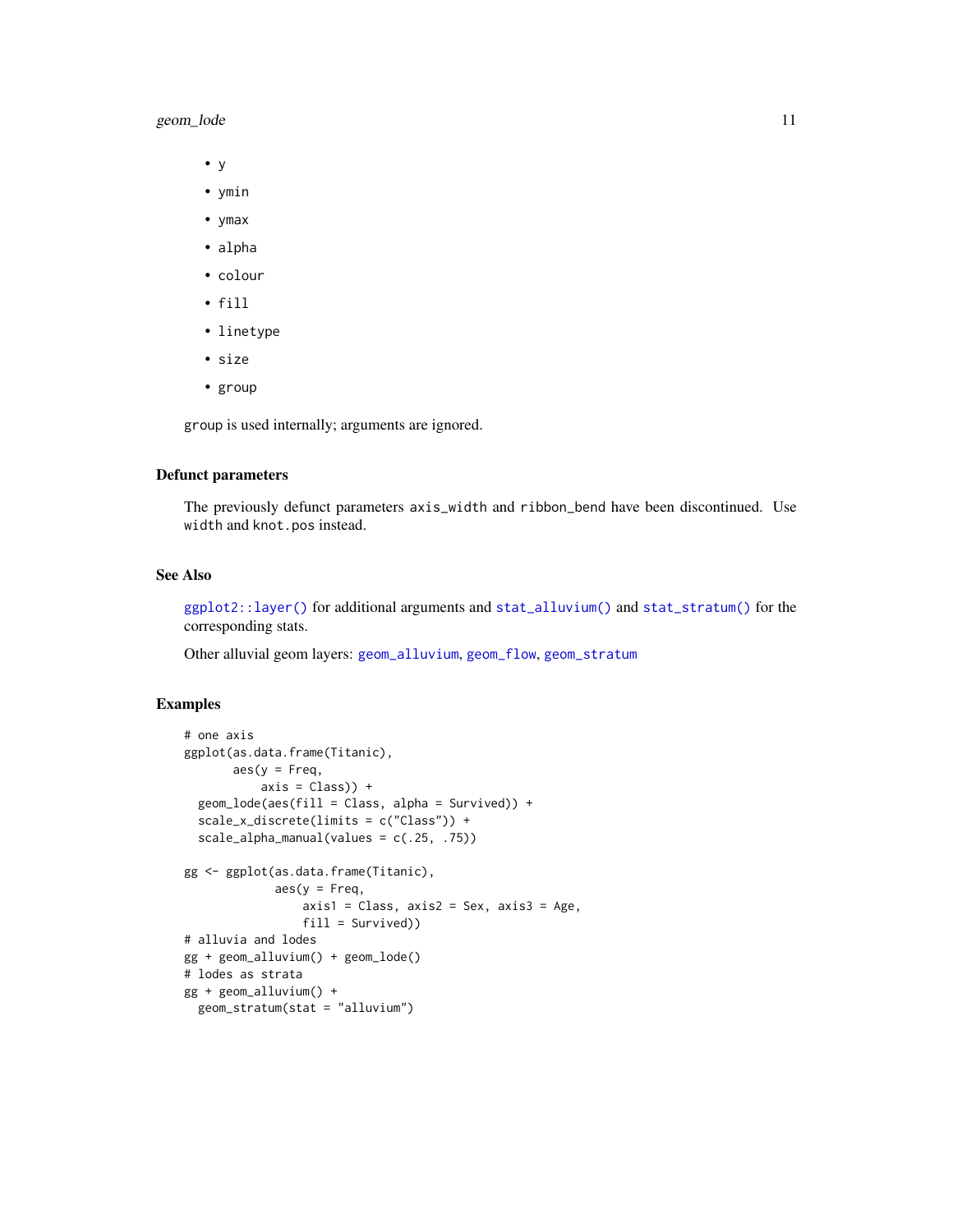# <span id="page-10-0"></span>geom\_lode 11

- y
- ymin
- ymax
- alpha
- colour
- fill
- linetype
- size
- group

group is used internally; arguments are ignored.

# Defunct parameters

The previously defunct parameters axis\_width and ribbon\_bend have been discontinued. Use width and knot.pos instead.

# See Also

[ggplot2::layer\(\)](#page-0-0) for additional arguments and [stat\\_alluvium\(\)](#page-15-1) and [stat\\_stratum\(\)](#page-25-1) for the corresponding stats.

Other alluvial geom layers: [geom\\_alluvium](#page-4-1), [geom\\_flow](#page-6-1), [geom\\_stratum](#page-11-1)

```
# one axis
ggplot(as.data.frame(Titanic),
      aes(y = Freq,axis = Class) +
  geom_lode(aes(fill = Class, alpha = Survived)) +
  scale_x_discrete(limits = c("Class")) +
  scale_alpha_manual(values = c(.25, .75))
gg <- ggplot(as.data.frame(Titanic),
            aes(y = Freq,axis1 = Class, axis2 = Sex, axis3 = Age,fill = Survived))
# alluvia and lodes
gg + geom_alluvium() + geom_lode()
# lodes as strata
gg + geom_alluvium() +
  geom_stratum(stat = "alluvium")
```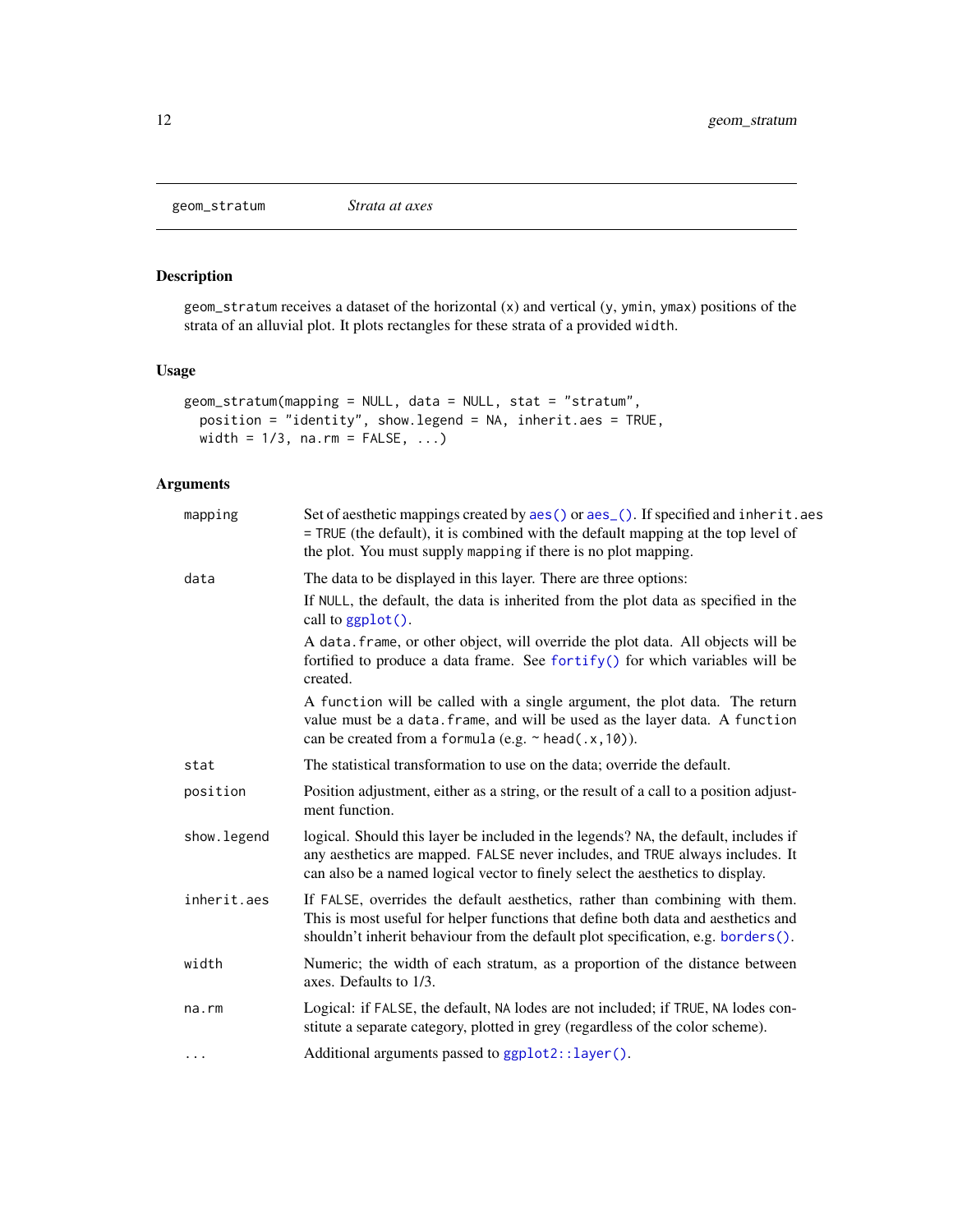<span id="page-11-1"></span><span id="page-11-0"></span>geom\_stratum *Strata at axes*

# Description

geom\_stratum receives a dataset of the horizontal (x) and vertical (y, ymin, ymax) positions of the strata of an alluvial plot. It plots rectangles for these strata of a provided width.

# Usage

```
geom_stratum(mapping = NULL, data = NULL, stat = "stratum",
 position = "identity", show.legend = NA, inherit.aes = TRUE,
 width = 1/3, na.rm = FALSE, ...)
```

| mapping      | Set of aesthetic mappings created by aes() or aes_(). If specified and inherit.aes<br>= TRUE (the default), it is combined with the default mapping at the top level of<br>the plot. You must supply mapping if there is no plot mapping.              |
|--------------|--------------------------------------------------------------------------------------------------------------------------------------------------------------------------------------------------------------------------------------------------------|
| data         | The data to be displayed in this layer. There are three options:                                                                                                                                                                                       |
|              | If NULL, the default, the data is inherited from the plot data as specified in the<br>call to ggplot().                                                                                                                                                |
|              | A data. frame, or other object, will override the plot data. All objects will be<br>fortified to produce a data frame. See fortify() for which variables will be<br>created.                                                                           |
|              | A function will be called with a single argument, the plot data. The return<br>value must be a data. frame, and will be used as the layer data. A function<br>can be created from a formula (e.g. ~ head(.x, 10)).                                     |
| stat         | The statistical transformation to use on the data; override the default.                                                                                                                                                                               |
| position     | Position adjustment, either as a string, or the result of a call to a position adjust-<br>ment function.                                                                                                                                               |
| show. legend | logical. Should this layer be included in the legends? NA, the default, includes if<br>any aesthetics are mapped. FALSE never includes, and TRUE always includes. It<br>can also be a named logical vector to finely select the aesthetics to display. |
| inherit.aes  | If FALSE, overrides the default aesthetics, rather than combining with them.<br>This is most useful for helper functions that define both data and aesthetics and<br>shouldn't inherit behaviour from the default plot specification, e.g. borders().  |
| width        | Numeric; the width of each stratum, as a proportion of the distance between<br>axes. Defaults to 1/3.                                                                                                                                                  |
| na.rm        | Logical: if FALSE, the default, NA lodes are not included; if TRUE, NA lodes con-<br>stitute a separate category, plotted in grey (regardless of the color scheme).                                                                                    |
| $\cdots$     | Additional arguments passed to ggplot2::layer().                                                                                                                                                                                                       |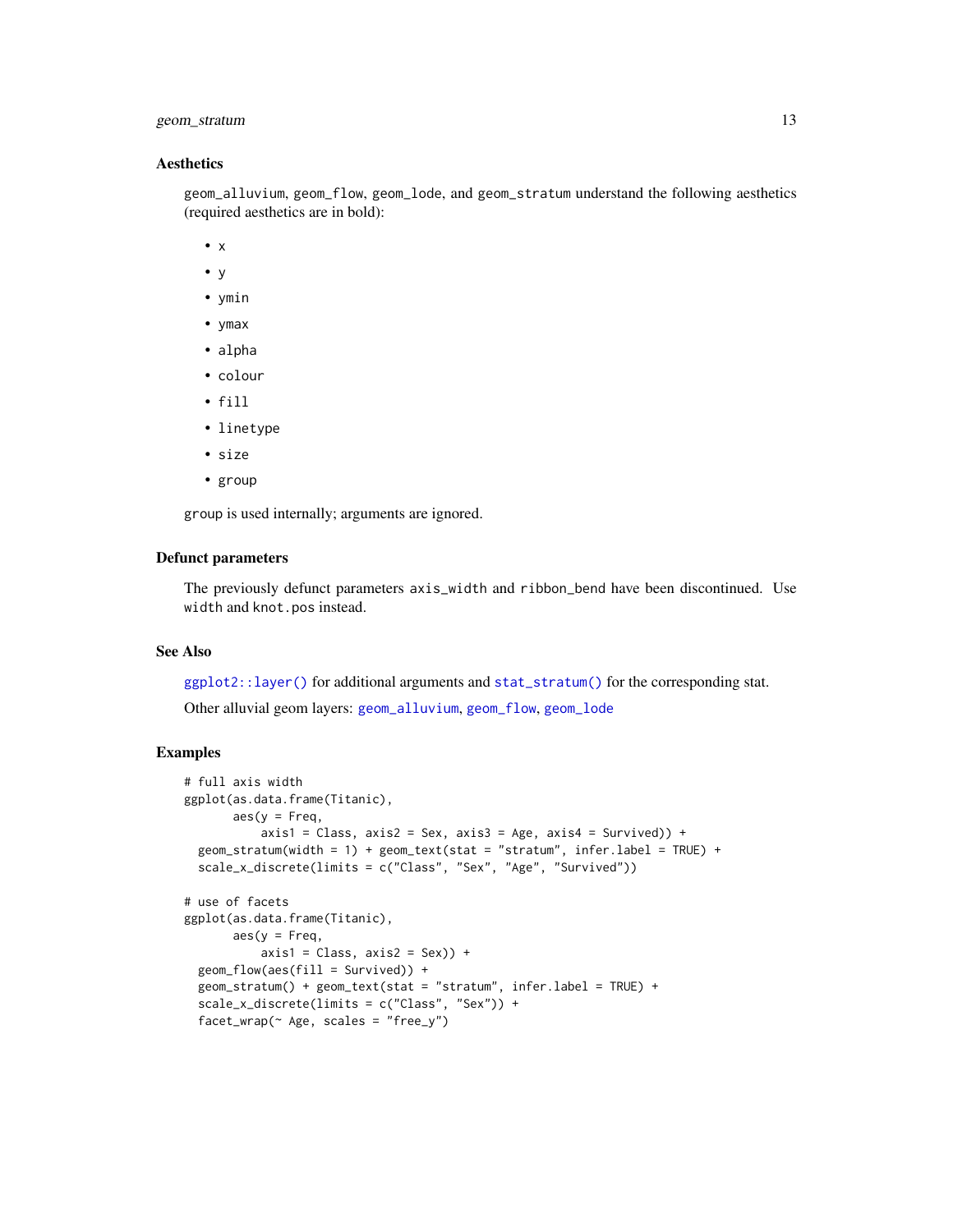# <span id="page-12-0"></span>geom\_stratum 13

#### Aesthetics

geom\_alluvium, geom\_flow, geom\_lode, and geom\_stratum understand the following aesthetics (required aesthetics are in bold):

- x
- y
- ymin
- ymax
- alpha
- colour
- fill
- linetype
- size
- group

group is used internally; arguments are ignored.

#### Defunct parameters

The previously defunct parameters axis\_width and ribbon\_bend have been discontinued. Use width and knot.pos instead.

# See Also

[ggplot2::layer\(\)](#page-0-0) for additional arguments and [stat\\_stratum\(\)](#page-25-1) for the corresponding stat.

Other alluvial geom layers: [geom\\_alluvium](#page-4-1), [geom\\_flow](#page-6-1), [geom\\_lode](#page-8-1)

```
# full axis width
ggplot(as.data.frame(Titanic),
      aes(y = Freq,axis1 = Class, axis2 = Sex, axis3 = Age, axis4 = Survived)) +
 geom_stratum(width = 1) + geom_text(stat = "stratum", infer.label = TRUE) +
 scale_x_discrete(limits = c("Class", "Sex", "Age", "Survived"))
# use of facets
ggplot(as.data.frame(Titanic),
      aes(y = Freq,axis1 = Class, axis2 = Sex) +
 geom_flow(aes(fill = Survey) +geom_stratum() + geom_text(stat = "stratum", infer.label = TRUE) +
 scale_x_discrete(limits = c("Class", "Sex")) +
 facet_wrap(\sim Age, scales = "free_y")
```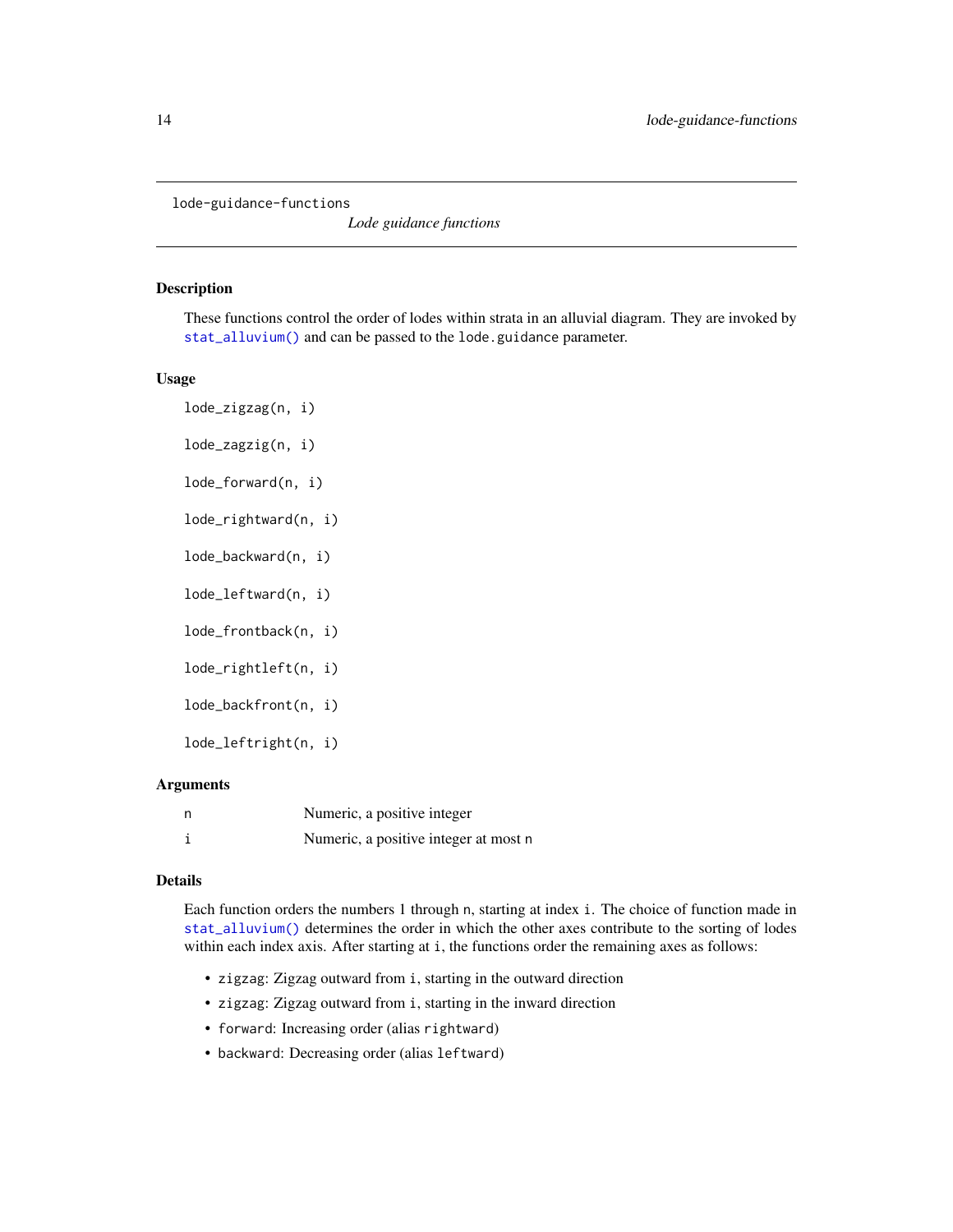<span id="page-13-1"></span><span id="page-13-0"></span>lode-guidance-functions

*Lode guidance functions*

#### Description

These functions control the order of lodes within strata in an alluvial diagram. They are invoked by [stat\\_alluvium\(\)](#page-15-1) and can be passed to the lode.guidance parameter.

# Usage

lode\_zigzag(n, i) lode\_zagzig(n, i) lode\_forward(n, i) lode\_rightward(n, i) lode\_backward(n, i) lode\_leftward(n, i) lode\_frontback(n, i) lode\_rightleft(n, i) lode\_backfront(n, i) lode\_leftright(n, i)

# Arguments

| Numeric, a positive integer           |
|---------------------------------------|
| Numeric, a positive integer at most n |

# Details

Each function orders the numbers 1 through n, starting at index i. The choice of function made in [stat\\_alluvium\(\)](#page-15-1) determines the order in which the other axes contribute to the sorting of lodes within each index axis. After starting at i, the functions order the remaining axes as follows:

- zigzag: Zigzag outward from i, starting in the outward direction
- zigzag: Zigzag outward from i, starting in the inward direction
- forward: Increasing order (alias rightward)
- backward: Decreasing order (alias leftward)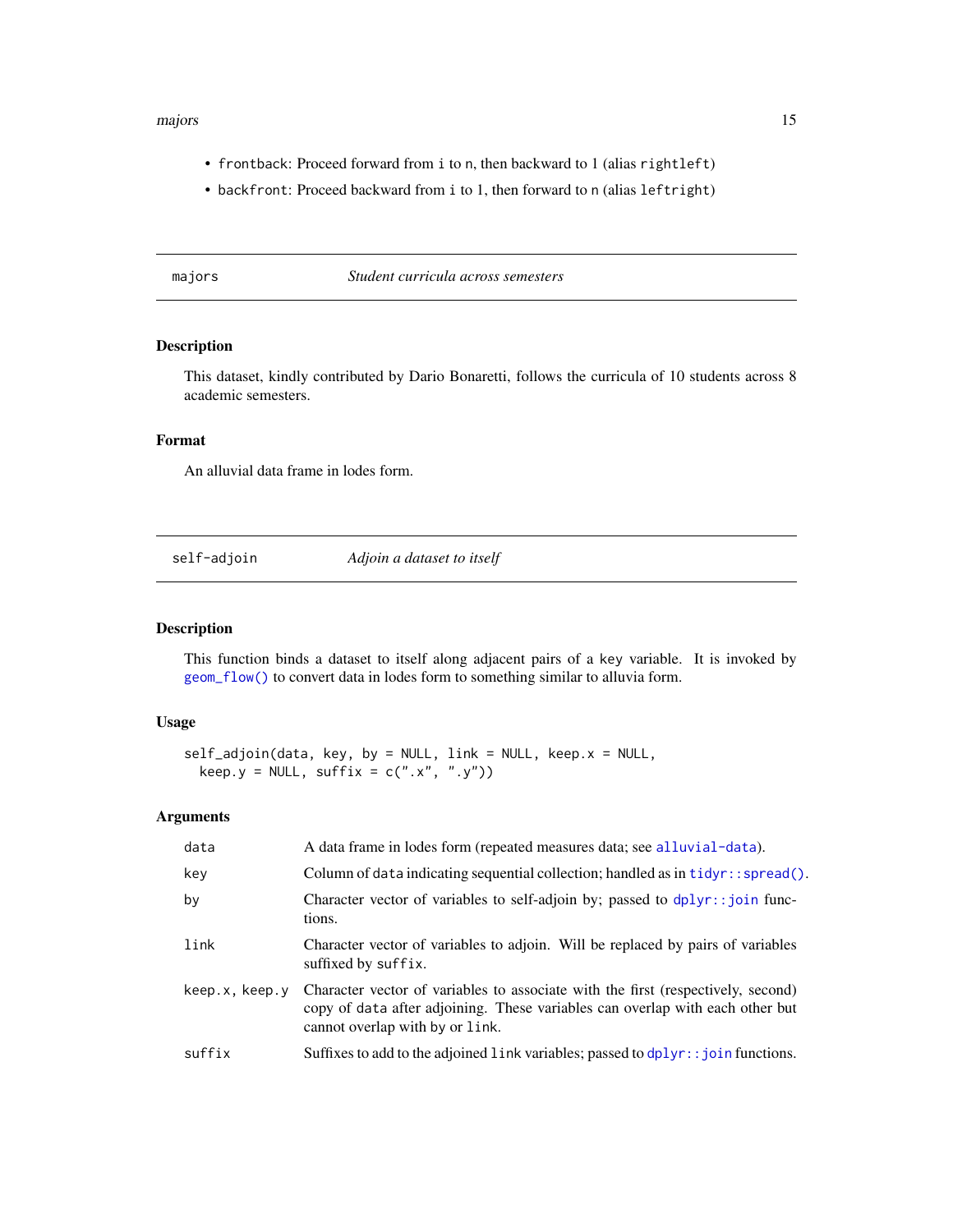#### <span id="page-14-0"></span>majors and the contract of the contract of the contract of the contract of the contract of the contract of the contract of the contract of the contract of the contract of the contract of the contract of the contract of the

- frontback: Proceed forward from i to n, then backward to 1 (alias rightleft)
- backfront: Proceed backward from i to 1, then forward to n (alias leftright)

majors *Student curricula across semesters*

# Description

This dataset, kindly contributed by Dario Bonaretti, follows the curricula of 10 students across 8 academic semesters.

# Format

An alluvial data frame in lodes form.

<span id="page-14-1"></span>self-adjoin *Adjoin a dataset to itself*

#### Description

This function binds a dataset to itself along adjacent pairs of a key variable. It is invoked by [geom\\_flow\(\)](#page-6-1) to convert data in lodes form to something similar to alluvia form.

#### Usage

```
self_adjoin(data, key, by = NULL, link = NULL, keep.x = NULL,
  keep.y = NULL, \text{suffix} = c("x", "y")
```

| data           | A data frame in lodes form (repeated measures data; see alluvial-data).                                                                                                                              |
|----------------|------------------------------------------------------------------------------------------------------------------------------------------------------------------------------------------------------|
| key            | Column of data indicating sequential collection; handled as in $tidyr: spred()$ .                                                                                                                    |
| by             | Character vector of variables to self-adjoin by; passed to dplyr::join func-<br>tions.                                                                                                               |
| link           | Character vector of variables to adjoin. Will be replaced by pairs of variables<br>suffixed by suffix.                                                                                               |
| keep.x, keep.y | Character vector of variables to associate with the first (respectively, second)<br>copy of data after adjoining. These variables can overlap with each other but<br>cannot overlap with by or link. |
| suffix         | Suffixes to add to the adjoined link variables; passed to $d$ pl $y$ r:: join functions.                                                                                                             |
|                |                                                                                                                                                                                                      |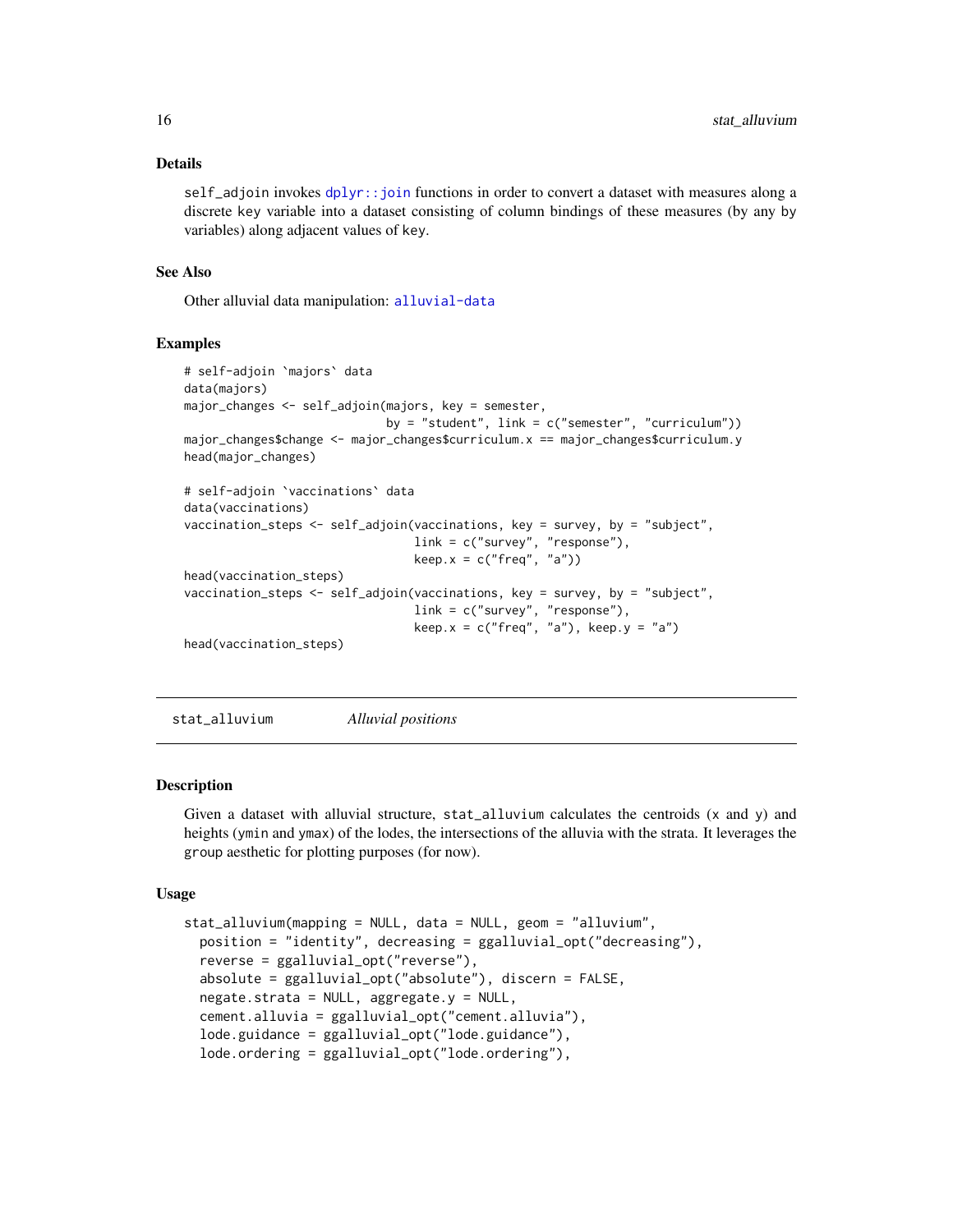#### <span id="page-15-0"></span>Details

self\_adjoin invokes [dplyr::join](#page-0-0) functions in order to convert a dataset with measures along a discrete key variable into a dataset consisting of column bindings of these measures (by any by variables) along adjacent values of key.

# See Also

Other alluvial data manipulation: [alluvial-data](#page-1-1)

#### Examples

```
# self-adjoin `majors` data
data(majors)
major_changes <- self_adjoin(majors, key = semester,
                             by = "student", link = c("semester", "curriculum"))major_changes$change <- major_changes$curriculum.x == major_changes$curriculum.y
head(major_changes)
# self-adjoin `vaccinations` data
data(vaccinations)
vaccination_steps <- self_adjoin(vaccinations, key = survey, by = "subject",
                                 link = c("survey", "response"),
                                 keep.x = c("freq", "a")head(vaccination_steps)
vaccination_steps <- self_adjoin(vaccinations, key = survey, by = "subject",
                                 link = c("survey", "response"),
                                 keep.x = c("freq", "a"), keep.y = "a")head(vaccination_steps)
```
<span id="page-15-1"></span>stat\_alluvium *Alluvial positions*

#### **Description**

Given a dataset with alluvial structure, stat\_alluvium calculates the centroids (x and y) and heights (ymin and ymax) of the lodes, the intersections of the alluvia with the strata. It leverages the group aesthetic for plotting purposes (for now).

#### Usage

```
stat_alluvium(mapping = NULL, data = NULL, geom = "alluvium",
 position = "identity", decreasing = ggalluvial_opt("decreasing"),
 reverse = ggalluvial_opt("reverse"),
 absolute = ggalluvial_opt("absolute"), discern = FALSE,
 negate.strata = NULL, aggregate.y = NULL,
 cement.alluvia = ggalluvial_opt("cement.alluvia"),
 lode.guidance = ggalluvial_opt("lode.guidance"),
 lode.ordering = ggalluvial_opt("lode.ordering"),
```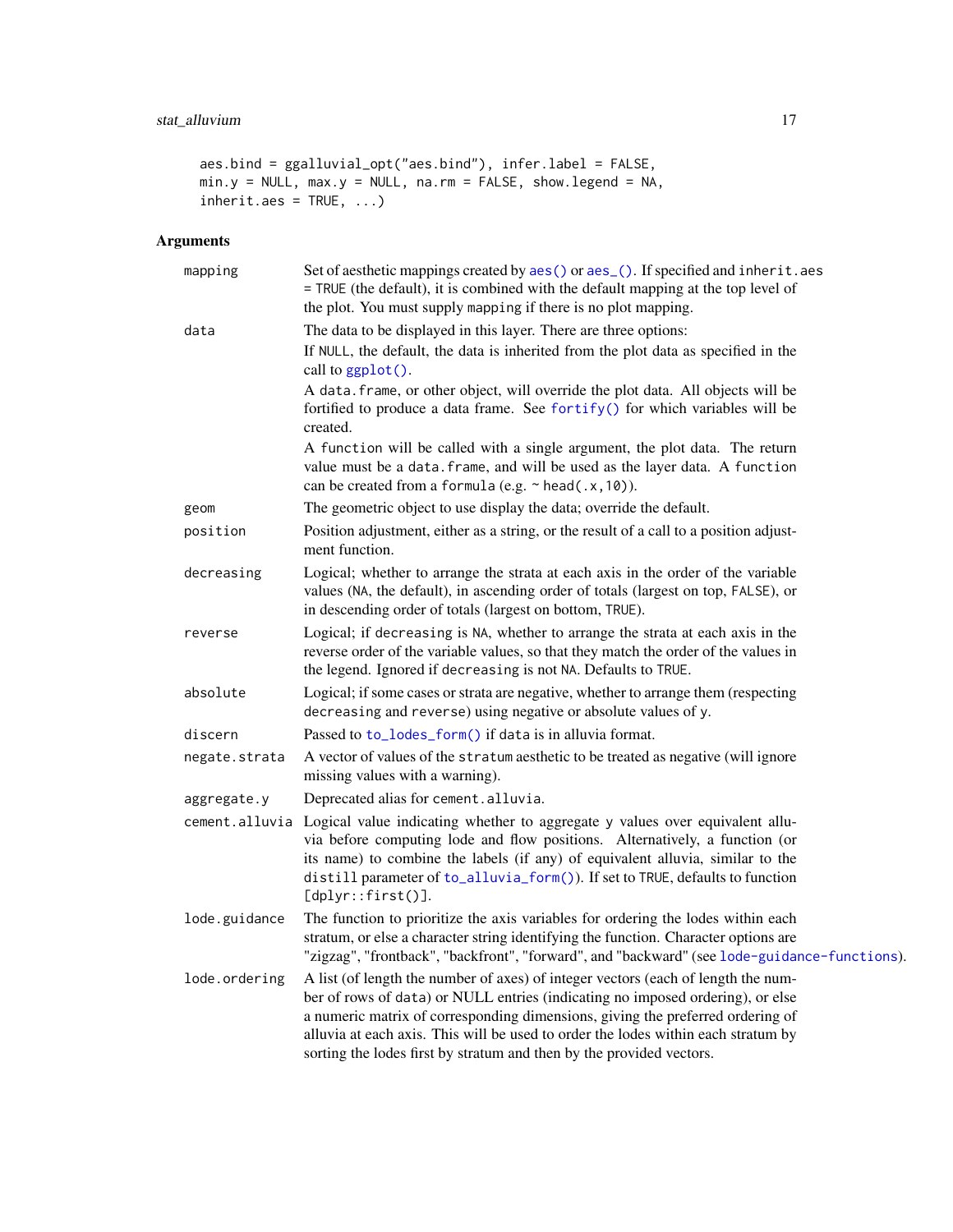```
aes.bind = ggalluvial_opt("aes.bind"), infer.label = FALSE,
min.y = NULL, max.y = NULL, na.rm = FALSE, show.legend = NA,
inherit.aes = TRUE, ...
```

| mapping       | Set of aesthetic mappings created by aes() or aes_(). If specified and inherit.aes<br>= TRUE (the default), it is combined with the default mapping at the top level of<br>the plot. You must supply mapping if there is no plot mapping.                                                                                                                                                                          |
|---------------|--------------------------------------------------------------------------------------------------------------------------------------------------------------------------------------------------------------------------------------------------------------------------------------------------------------------------------------------------------------------------------------------------------------------|
| data          | The data to be displayed in this layer. There are three options:<br>If NULL, the default, the data is inherited from the plot data as specified in the<br>call to ggplot().                                                                                                                                                                                                                                        |
|               | A data. frame, or other object, will override the plot data. All objects will be<br>fortified to produce a data frame. See fortify() for which variables will be<br>created.                                                                                                                                                                                                                                       |
|               | A function will be called with a single argument, the plot data. The return<br>value must be a data. frame, and will be used as the layer data. A function<br>can be created from a formula (e.g. $\sim$ head(.x, 10)).                                                                                                                                                                                            |
| geom          | The geometric object to use display the data; override the default.                                                                                                                                                                                                                                                                                                                                                |
| position      | Position adjustment, either as a string, or the result of a call to a position adjust-<br>ment function.                                                                                                                                                                                                                                                                                                           |
| decreasing    | Logical; whether to arrange the strata at each axis in the order of the variable<br>values (NA, the default), in ascending order of totals (largest on top, FALSE), or<br>in descending order of totals (largest on bottom, TRUE).                                                                                                                                                                                 |
| reverse       | Logical; if decreasing is NA, whether to arrange the strata at each axis in the<br>reverse order of the variable values, so that they match the order of the values in<br>the legend. Ignored if decreasing is not NA. Defaults to TRUE.                                                                                                                                                                           |
| absolute      | Logical; if some cases or strata are negative, whether to arrange them (respecting<br>decreasing and reverse) using negative or absolute values of y.                                                                                                                                                                                                                                                              |
| discern       | Passed to to_lodes_form() if data is in alluvia format.                                                                                                                                                                                                                                                                                                                                                            |
| negate.strata | A vector of values of the stratum aesthetic to be treated as negative (will ignore<br>missing values with a warning).                                                                                                                                                                                                                                                                                              |
| aggregate.y   | Deprecated alias for cement.alluvia.                                                                                                                                                                                                                                                                                                                                                                               |
|               | cement.alluvia Logical value indicating whether to aggregate y values over equivalent allu-<br>via before computing lode and flow positions. Alternatively, a function (or<br>its name) to combine the labels (if any) of equivalent alluvia, similar to the<br>distill parameter of to_alluvia_form()). If set to TRUE, defaults to function<br>[dplyr::first()].                                                 |
| lode.guidance | The function to prioritize the axis variables for ordering the lodes within each<br>stratum, or else a character string identifying the function. Character options are<br>"zigzag", "frontback", "backfront", "forward", and "backward" (see lode-guidance-functions).                                                                                                                                            |
| lode.ordering | A list (of length the number of axes) of integer vectors (each of length the num-<br>ber of rows of data) or NULL entries (indicating no imposed ordering), or else<br>a numeric matrix of corresponding dimensions, giving the preferred ordering of<br>alluvia at each axis. This will be used to order the lodes within each stratum by<br>sorting the lodes first by stratum and then by the provided vectors. |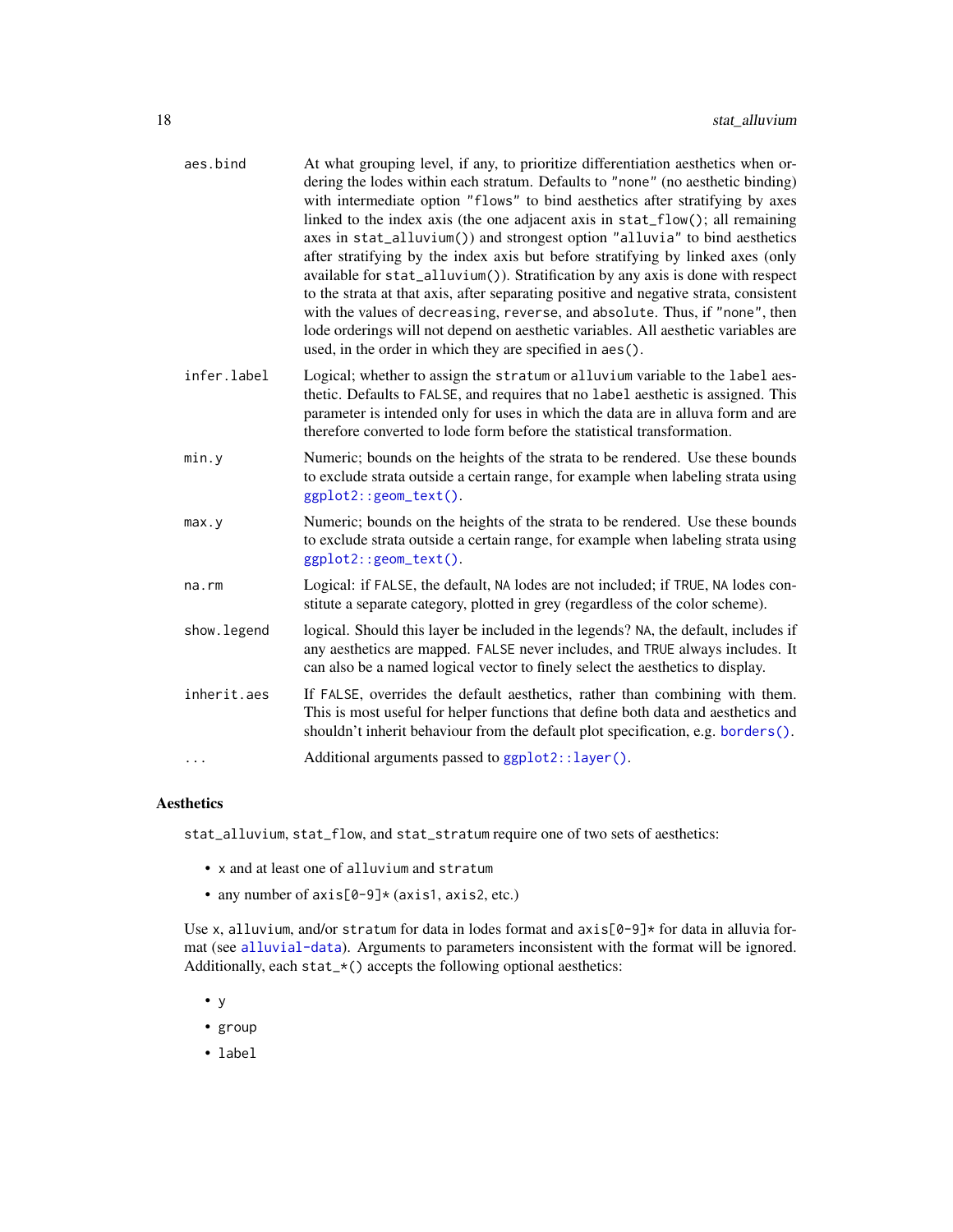<span id="page-17-0"></span>

| aes.bind    | At what grouping level, if any, to prioritize differentiation aesthetics when or-<br>dering the lodes within each stratum. Defaults to "none" (no aesthetic binding)<br>with intermediate option "flows" to bind aesthetics after stratifying by axes<br>linked to the index axis (the one adjacent axis in stat_flow(); all remaining<br>axes in stat_alluvium()) and strongest option "alluvia" to bind aesthetics<br>after stratifying by the index axis but before stratifying by linked axes (only<br>available for stat_alluvium()). Stratification by any axis is done with respect<br>to the strata at that axis, after separating positive and negative strata, consistent<br>with the values of decreasing, reverse, and absolute. Thus, if "none", then<br>lode orderings will not depend on aesthetic variables. All aesthetic variables are<br>used, in the order in which they are specified in aes(). |
|-------------|----------------------------------------------------------------------------------------------------------------------------------------------------------------------------------------------------------------------------------------------------------------------------------------------------------------------------------------------------------------------------------------------------------------------------------------------------------------------------------------------------------------------------------------------------------------------------------------------------------------------------------------------------------------------------------------------------------------------------------------------------------------------------------------------------------------------------------------------------------------------------------------------------------------------|
| infer.label | Logical; whether to assign the stratum or alluvium variable to the label aes-<br>thetic. Defaults to FALSE, and requires that no label aesthetic is assigned. This<br>parameter is intended only for uses in which the data are in alluva form and are<br>therefore converted to lode form before the statistical transformation.                                                                                                                                                                                                                                                                                                                                                                                                                                                                                                                                                                                    |
| min.y       | Numeric; bounds on the heights of the strata to be rendered. Use these bounds<br>to exclude strata outside a certain range, for example when labeling strata using<br>ggplot2::geom_text().                                                                                                                                                                                                                                                                                                                                                                                                                                                                                                                                                                                                                                                                                                                          |
| max.y       | Numeric; bounds on the heights of the strata to be rendered. Use these bounds<br>to exclude strata outside a certain range, for example when labeling strata using<br>ggplot2::geom_text().                                                                                                                                                                                                                                                                                                                                                                                                                                                                                                                                                                                                                                                                                                                          |
| na.rm       | Logical: if FALSE, the default, NA lodes are not included; if TRUE, NA lodes con-<br>stitute a separate category, plotted in grey (regardless of the color scheme).                                                                                                                                                                                                                                                                                                                                                                                                                                                                                                                                                                                                                                                                                                                                                  |
| show.legend | logical. Should this layer be included in the legends? NA, the default, includes if<br>any aesthetics are mapped. FALSE never includes, and TRUE always includes. It<br>can also be a named logical vector to finely select the aesthetics to display.                                                                                                                                                                                                                                                                                                                                                                                                                                                                                                                                                                                                                                                               |
| inherit.aes | If FALSE, overrides the default aesthetics, rather than combining with them.<br>This is most useful for helper functions that define both data and aesthetics and<br>shouldn't inherit behaviour from the default plot specification, e.g. borders().                                                                                                                                                                                                                                                                                                                                                                                                                                                                                                                                                                                                                                                                |
|             | Additional arguments passed to ggplot2::layer().                                                                                                                                                                                                                                                                                                                                                                                                                                                                                                                                                                                                                                                                                                                                                                                                                                                                     |
|             |                                                                                                                                                                                                                                                                                                                                                                                                                                                                                                                                                                                                                                                                                                                                                                                                                                                                                                                      |

# Aesthetics

stat\_alluvium, stat\_flow, and stat\_stratum require one of two sets of aesthetics:

- x and at least one of alluvium and stratum
- any number of  $axis[0-9] \star (axis1, axis2, etc.)$

Use x, alluvium, and/or stratum for data in lodes format and  $axis[0-9]$ \* for data in alluvia format (see [alluvial-data](#page-1-1)). Arguments to parameters inconsistent with the format will be ignored. Additionally, each stat\_\*() accepts the following optional aesthetics:

- y
- group
- label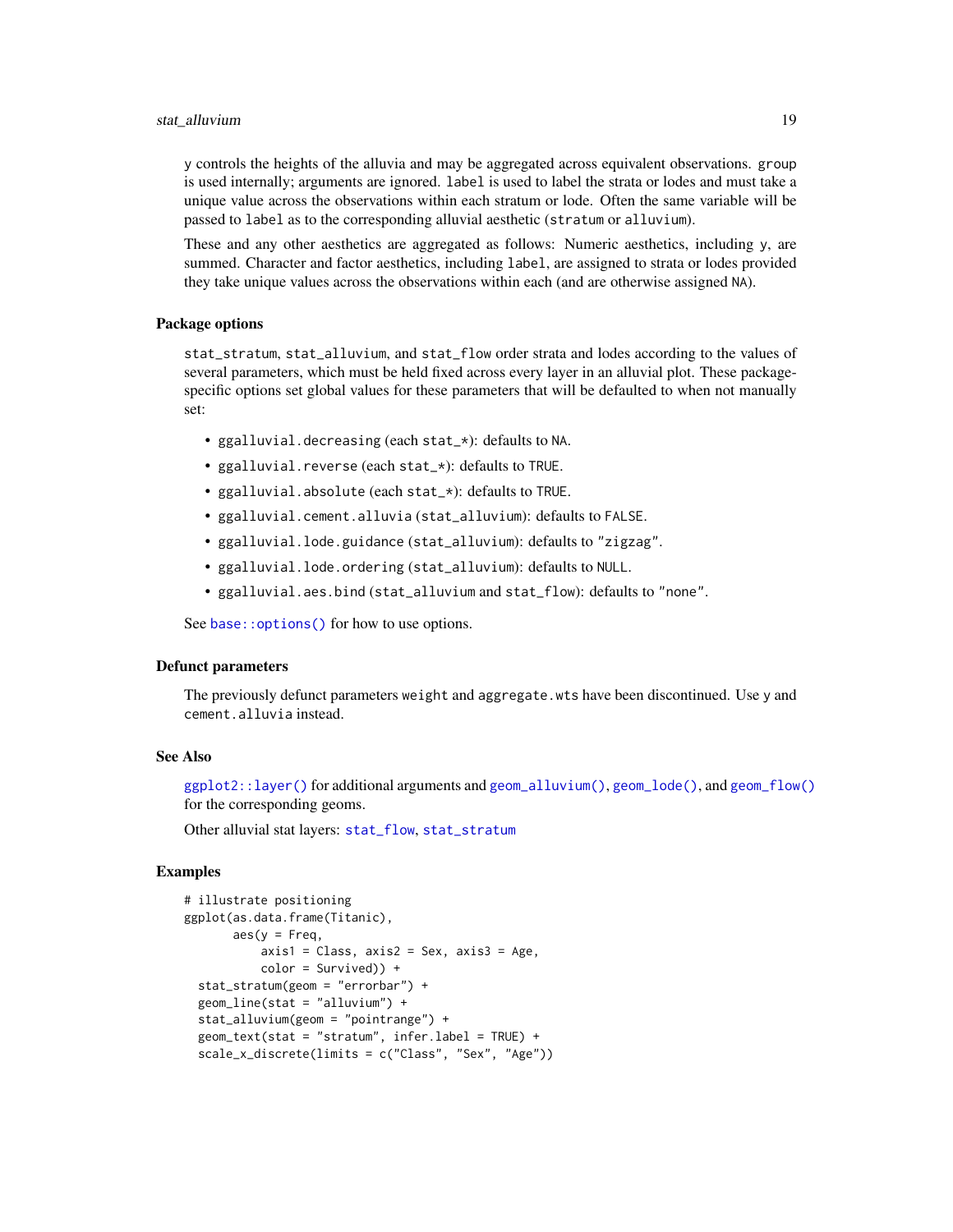<span id="page-18-0"></span>y controls the heights of the alluvia and may be aggregated across equivalent observations. group is used internally; arguments are ignored. label is used to label the strata or lodes and must take a unique value across the observations within each stratum or lode. Often the same variable will be passed to label as to the corresponding alluvial aesthetic (stratum or alluvium).

These and any other aesthetics are aggregated as follows: Numeric aesthetics, including y, are summed. Character and factor aesthetics, including label, are assigned to strata or lodes provided they take unique values across the observations within each (and are otherwise assigned NA).

#### Package options

stat\_stratum, stat\_alluvium, and stat\_flow order strata and lodes according to the values of several parameters, which must be held fixed across every layer in an alluvial plot. These packagespecific options set global values for these parameters that will be defaulted to when not manually set:

- ggalluvial.decreasing (each stat\_\*): defaults to NA.
- ggalluvial.reverse (each stat\_\*): defaults to TRUE.
- ggalluvial.absolute (each stat\_\*): defaults to TRUE.
- ggalluvial.cement.alluvia (stat\_alluvium): defaults to FALSE.
- ggalluvial.lode.guidance (stat\_alluvium): defaults to "zigzag".
- ggalluvial.lode.ordering (stat\_alluvium): defaults to NULL.
- ggalluvial.aes.bind (stat\_alluvium and stat\_flow): defaults to "none".

See base:: options() for how to use options.

# Defunct parameters

The previously defunct parameters weight and aggregate.wts have been discontinued. Use y and cement.alluvia instead.

#### See Also

[ggplot2::layer\(\)](#page-0-0) for additional arguments and [geom\\_alluvium\(\)](#page-4-1), [geom\\_lode\(\)](#page-8-1), and [geom\\_flow\(\)](#page-6-1) for the corresponding geoms.

Other alluvial stat layers: [stat\\_flow](#page-21-1), [stat\\_stratum](#page-25-1)

```
# illustrate positioning
ggplot(as.data.frame(Titanic),
       \text{aes}(y = \text{Freq},axis1 = Class, axis2 = Sex, axis3 = Age,color = Survived)) +
 stat_stratum(geom = "errorbar") +
 geom_line(stat = "alluvium") +
 stat_alluvium(geom = "pointrange") +
 geom\_text(stat = "stratum", infer-label = TRUE) +scale_x_discrete(limits = c("Class", "Sex", "Age"))
```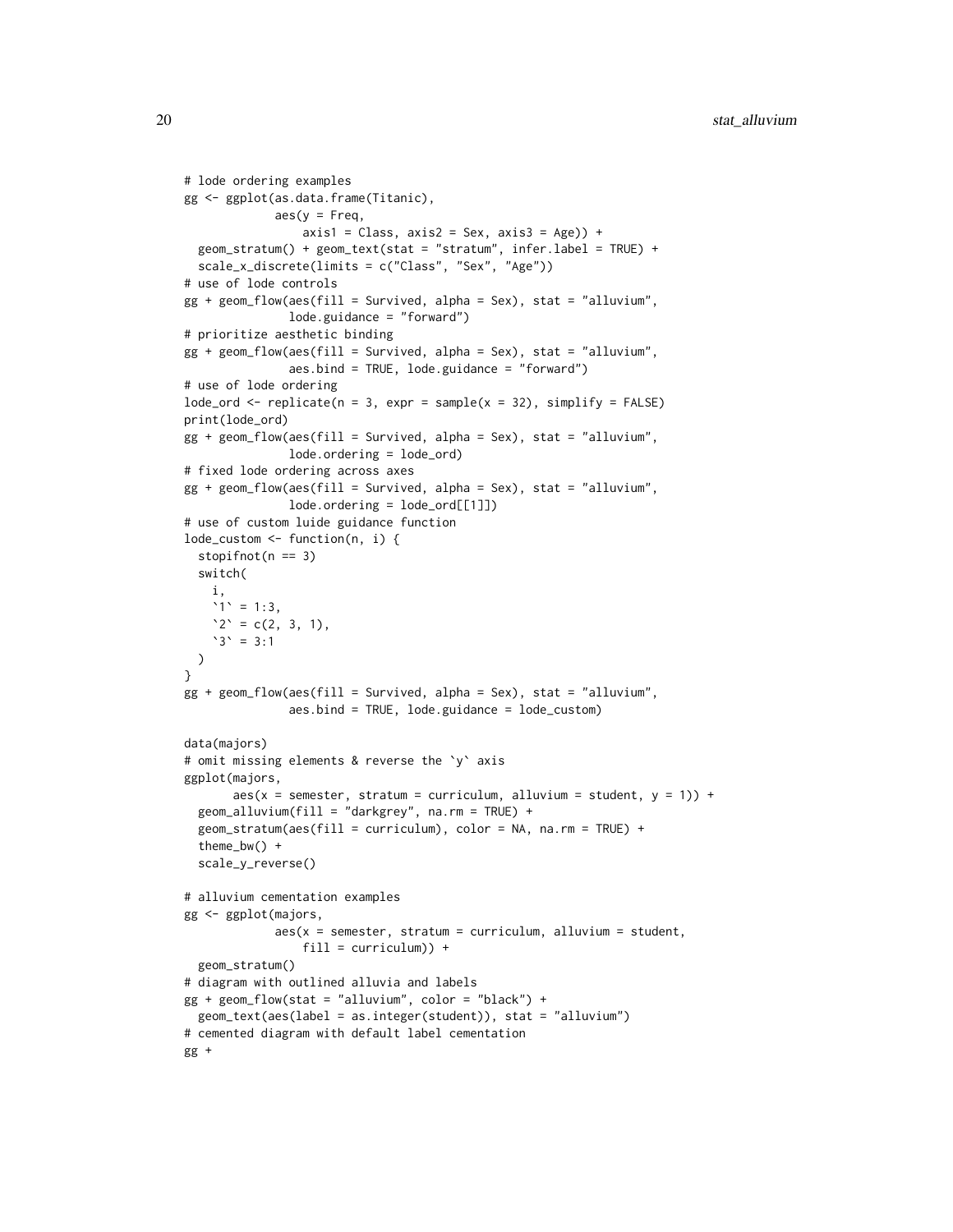```
# lode ordering examples
gg <- ggplot(as.data.frame(Titanic),
             \text{aes}(y = \text{Freq},axis1 = Class, axis2 = Sex, axis3 = Age) +
 geom_stratum() + geom_text(stat = "stratum", infer.label = TRUE) +
 scale_x_discrete(limits = c("Class", "Sex", "Age"))
# use of lode controls
gg + geom_flow(aes(fill = Survey, alpha = Sex), stat = "alluvium",lode.guidance = "forward")
# prioritize aesthetic binding
gg + geom_flow(aes(fill = Survey) = Survived, alpha = Sex), stat = "alluvium",
               aes.bind = TRUE, lode.guidance = "forward")
# use of lode ordering
lode_ord <- replicate(n = 3, expr = sample(x = 32), simplify = FALSE)
print(lode_ord)
gg + geom_flow(aes(fill = Survived, alpha = Sex), stat = "alluvium",
               lode.ordering = lode_ord)
# fixed lode ordering across axes
gg + geom_flow(aes(fill = Survey, alpha = Sex), stat = "alluvium",lode.ordering = lode_ord[[1]])
# use of custom luide guidance function
lode_custom <- function(n, i) {
 stopifnot(n == 3)switch(
    i,
    1' = 1:3'2' = c(2, 3, 1),3' = 3:1)
}
gg + geom_flow(aes(fill = Survey, alpha = Sex), stat = "alluvium",aes.bind = TRUE, lode.guidance = lode_custom)
data(majors)
# omit missing elements & reverse the `y` axis
ggplot(majors,
       aes(x = semester, stratum = curriculum, alluvium = student, y = 1)) +geom_alluvium(fill = "darkgrey", na.rm = TRUE) +
 geom_stratum(aes(fill = curriculum), color = NA, na.rm = TRUE) +
 theme_bw() +
 scale_y_reverse()
# alluvium cementation examples
gg <- ggplot(majors,
             aes(x = semester, stratum = curriculum, alluvium = student,fill = curriculum)) +
 geom_stratum()
# diagram with outlined alluvia and labels
gg + geom_flow(stat = "alluvium", color = "black") +geom_text(aes(label = as.integer(student)), stat = "alluvium")
# cemented diagram with default label cementation
gg +
```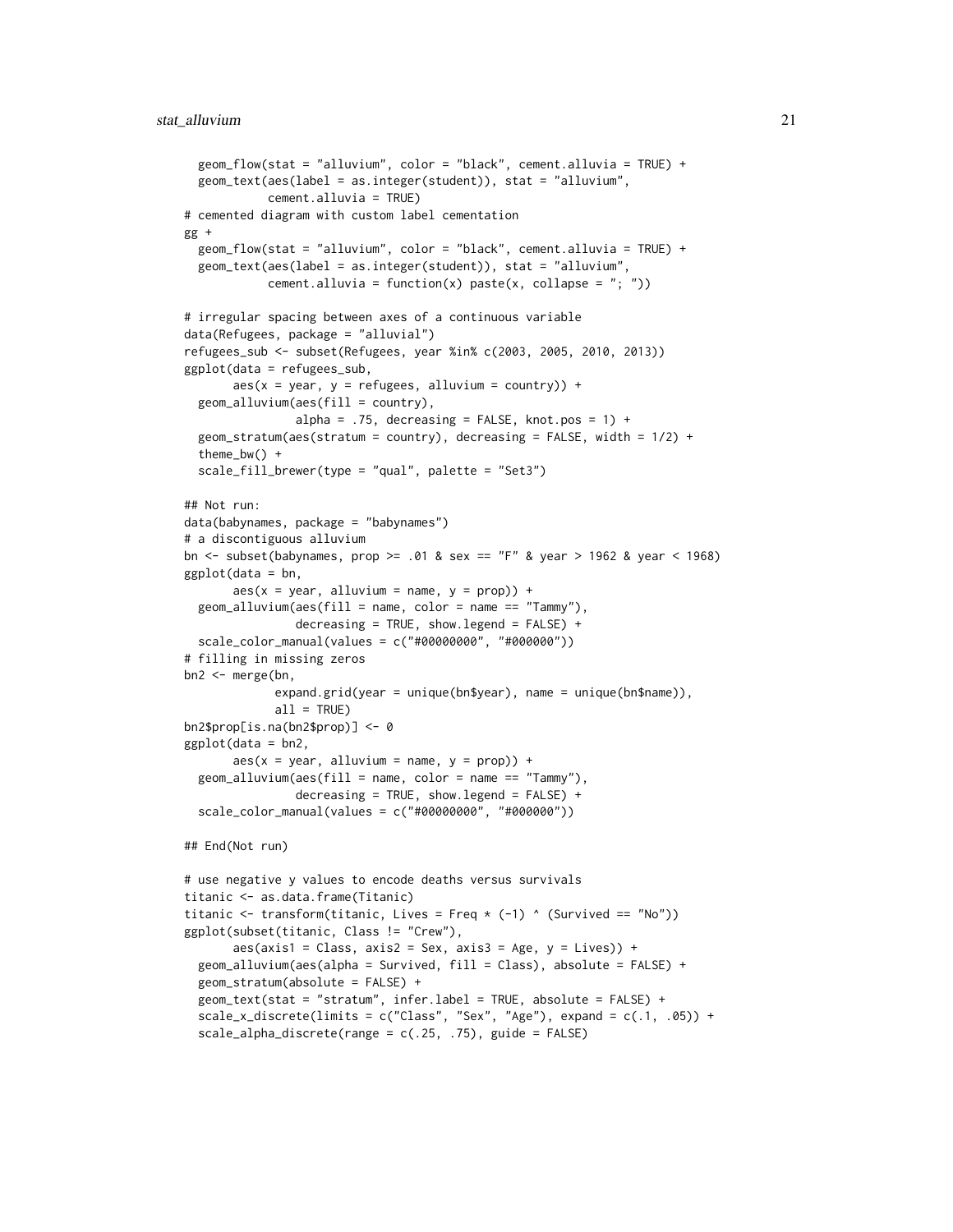```
geom_flow(stat = "alluvium", color = "black", cement.alluvia = TRUE) +
 geom_text(aes(label = as.integer(student)), stat = "alluvium",
            cement.alluvia = TRUE)
# cemented diagram with custom label cementation
gg +
 geom_flow(stat = "alluvium", color = "black", cement.alluvia = TRUE) +
 geom_text(aes(label = as.integer(student)), stat = "alluvium",
            cement.alluvia = function(x) paste(x, collapse = "; "))
# irregular spacing between axes of a continuous variable
data(Refugees, package = "alluvial")
refugees_sub <- subset(Refugees, year %in% c(2003, 2005, 2010, 2013))
ggplot(data = refugees_sub,
      aes(x = year, y = refugees, alluvium = country) +
 geom\_alluvium(aes(fill = country),
                alpha = .75, decreasing = FALSE, knot.pos = 1) +
 geom_stratum(aes(stratum = country), decreasing = FALSE, width = 1/2) +
 theme_bw() +
 scale_fill_brewer(type = "qual", palette = "Set3")
## Not run:
data(babynames, package = "babynames")
# a discontiguous alluvium
bn <- subset(babynames, prop >= .01 & sex == "F" & year > 1962 & year < 1968)
ggplot(data = bn,aes(x = year, alluvium = name, y = prop)) +geom\_alluvium(aes(fill = name, color = name == "Tammy"),decreasing = TRUE, show.legend = FALSE) +
 scale_color_manual(values = c("#00000000", "#000000"))
# filling in missing zeros
bn2 <- merge(bn,
             expand.grid(year = unique(bn$year), name = unique(bn$name)),
             all = TRUE)
bn2$prop[is.na(bn2$prop)] <- 0
ggplot(data = bn2,
       aes(x = year, alluvium = name, y = prop)) +geom_alluvium(aes(fill = name, color = name == "Tammy"),
                decreasing = TRUE, show.legend = FALSE) +
  scale_color_manual(values = c("#00000000", "#000000"))
## End(Not run)
# use negative y values to encode deaths versus survivals
titanic <- as.data.frame(Titanic)
titanic \leq transform(titanic, Lives = Freq \star (-1) \land (Survived == "No"))
ggplot(subset(titanic, Class != "Crew"),
      aes(axis1 = Class, axis2 = Sex, axis3 = Age, y = Lives)) +geom_alluvium(aes(alpha = Survived, fill = Class), absolute = FALSE) +
 geom_stratum(absolute = FALSE) +
 geom_text(stat = "stratum", infer.label = TRUE, absolute = FALSE) +
 scale_x_discrete(limits = c("Class", "Sex", "Age"), expand = c(.1, .05)) +scale_alpha_discrete(range = c(.25, .75), guide = FALSE)
```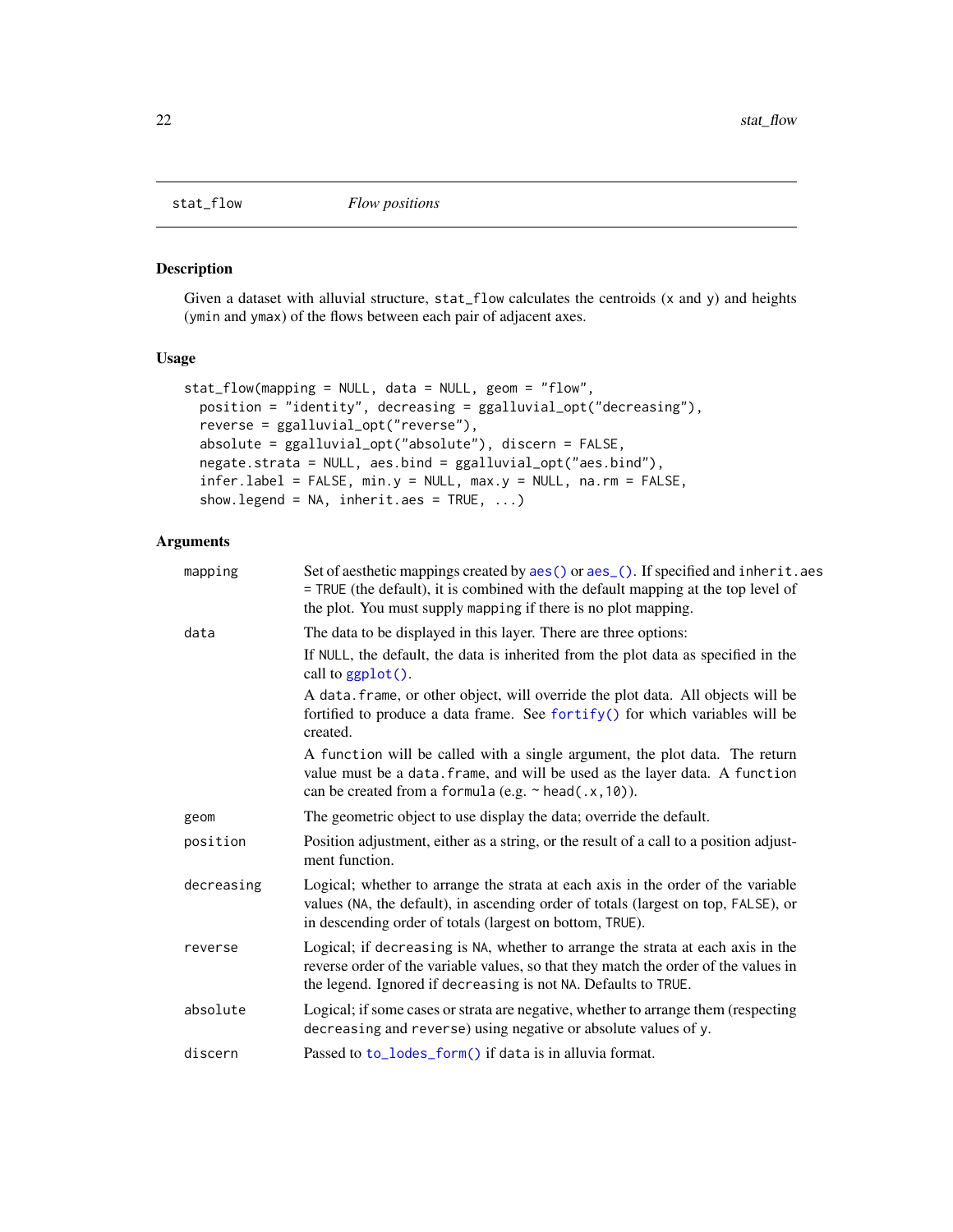<span id="page-21-1"></span><span id="page-21-0"></span>

# Description

Given a dataset with alluvial structure, stat\_flow calculates the centroids (x and y) and heights (ymin and ymax) of the flows between each pair of adjacent axes.

# Usage

```
stat_flow(mapping = NULL, data = NULL, geom = "flow",
 position = "identity", decreasing = ggalluvial_opt("decreasing"),
 reverse = ggalluvial_opt("reverse"),
 absolute = ggalluvial_opt("absolute"), discern = FALSE,
 negate.strata = NULL, aes.bind = ggalluvial_opt("aes.bind"),
  infer.label = FALSE, min.y = NULL, max.y = NULL, na.rm = FALSE,
  show.legend = NA, inherit.aes = TRUE, ...)
```

| mapping    | Set of aesthetic mappings created by aes() or aes_(). If specified and inherit.aes<br>= TRUE (the default), it is combined with the default mapping at the top level of<br>the plot. You must supply mapping if there is no plot mapping. |
|------------|-------------------------------------------------------------------------------------------------------------------------------------------------------------------------------------------------------------------------------------------|
| data       | The data to be displayed in this layer. There are three options:                                                                                                                                                                          |
|            | If NULL, the default, the data is inherited from the plot data as specified in the<br>call to ggplot().                                                                                                                                   |
|            | A data. frame, or other object, will override the plot data. All objects will be<br>fortified to produce a data frame. See fortify() for which variables will be<br>created.                                                              |
|            | A function will be called with a single argument, the plot data. The return<br>value must be a data. frame, and will be used as the layer data. A function<br>can be created from a formula (e.g. ~ head(.x, 10)).                        |
| geom       | The geometric object to use display the data; override the default.                                                                                                                                                                       |
| position   | Position adjustment, either as a string, or the result of a call to a position adjust-<br>ment function.                                                                                                                                  |
| decreasing | Logical; whether to arrange the strata at each axis in the order of the variable<br>values (NA, the default), in ascending order of totals (largest on top, FALSE), or<br>in descending order of totals (largest on bottom, TRUE).        |
| reverse    | Logical; if decreasing is NA, whether to arrange the strata at each axis in the<br>reverse order of the variable values, so that they match the order of the values in<br>the legend. Ignored if decreasing is not NA. Defaults to TRUE.  |
| absolute   | Logical; if some cases or strata are negative, whether to arrange them (respecting<br>decreasing and reverse) using negative or absolute values of y.                                                                                     |
| discern    | Passed to to_lodes_form() if data is in alluvia format.                                                                                                                                                                                   |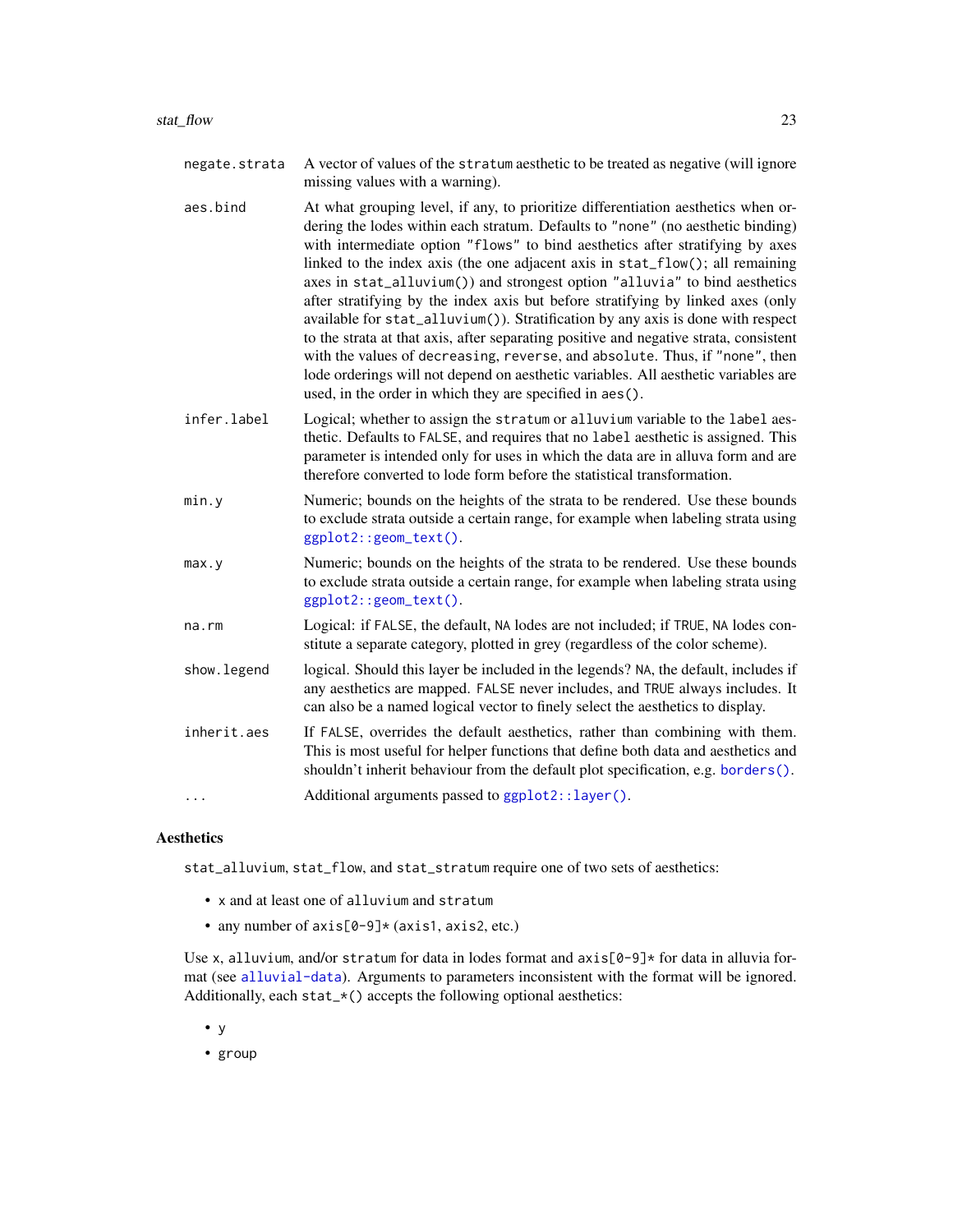- <span id="page-22-0"></span>negate.strata A vector of values of the stratum aesthetic to be treated as negative (will ignore missing values with a warning).
- aes.bind At what grouping level, if any, to prioritize differentiation aesthetics when ordering the lodes within each stratum. Defaults to "none" (no aesthetic binding) with intermediate option "flows" to bind aesthetics after stratifying by axes linked to the index axis (the one adjacent axis in stat\_flow(); all remaining axes in stat\_alluvium()) and strongest option "alluvia" to bind aesthetics after stratifying by the index axis but before stratifying by linked axes (only available for stat\_alluvium()). Stratification by any axis is done with respect to the strata at that axis, after separating positive and negative strata, consistent with the values of decreasing, reverse, and absolute. Thus, if "none", then lode orderings will not depend on aesthetic variables. All aesthetic variables are used, in the order in which they are specified in aes().
- infer. label Logical; whether to assign the stratum or alluvium variable to the label aesthetic. Defaults to FALSE, and requires that no label aesthetic is assigned. This parameter is intended only for uses in which the data are in alluva form and are therefore converted to lode form before the statistical transformation.
- min.y Numeric; bounds on the heights of the strata to be rendered. Use these bounds to exclude strata outside a certain range, for example when labeling strata using [ggplot2::geom\\_text\(\)](#page-0-0).
- max.y Numeric; bounds on the heights of the strata to be rendered. Use these bounds to exclude strata outside a certain range, for example when labeling strata using [ggplot2::geom\\_text\(\)](#page-0-0).
- na.rm Logical: if FALSE, the default, NA lodes are not included; if TRUE, NA lodes constitute a separate category, plotted in grey (regardless of the color scheme).
- show. legend logical. Should this layer be included in the legends? NA, the default, includes if any aesthetics are mapped. FALSE never includes, and TRUE always includes. It can also be a named logical vector to finely select the aesthetics to display.
- inherit.aes If FALSE, overrides the default aesthetics, rather than combining with them. This is most useful for helper functions that define both data and aesthetics and shouldn't inherit behaviour from the default plot specification, e.g. [borders\(\)](#page-0-0).

... Additional arguments passed to [ggplot2::layer\(\)](#page-0-0).

#### Aesthetics

stat\_alluvium, stat\_flow, and stat\_stratum require one of two sets of aesthetics:

- x and at least one of alluvium and stratum
- any number of  $axis[0-9] \star (axis1, axis2, etc.)$

Use x, alluvium, and/or stratum for data in lodes format and  $axis[0-9]$ \* for data in alluvia format (see [alluvial-data](#page-1-1)). Arguments to parameters inconsistent with the format will be ignored. Additionally, each  $stat_{\star}$  () accepts the following optional aesthetics:

• y

• group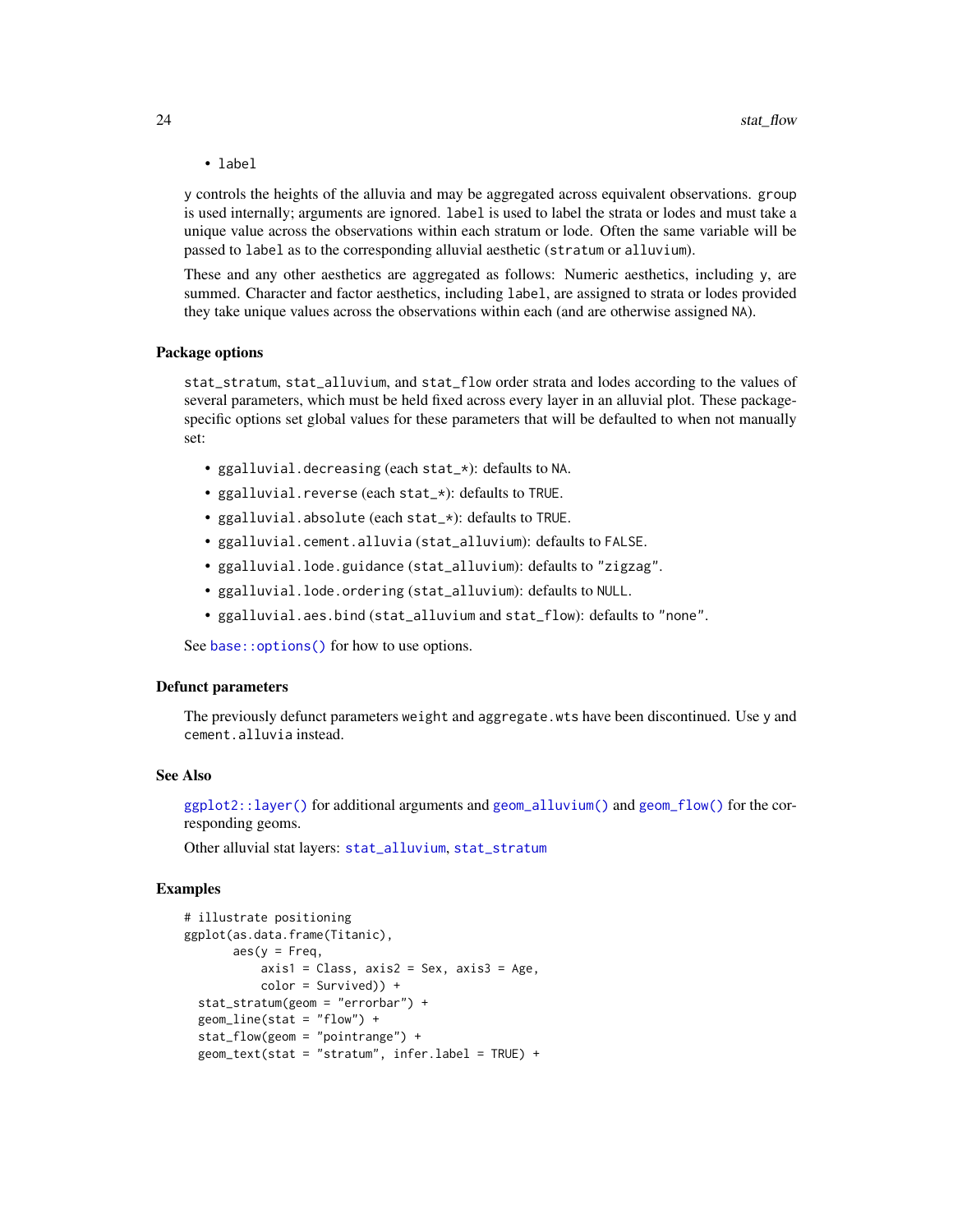<span id="page-23-0"></span>• label

y controls the heights of the alluvia and may be aggregated across equivalent observations. group is used internally; arguments are ignored. label is used to label the strata or lodes and must take a unique value across the observations within each stratum or lode. Often the same variable will be passed to label as to the corresponding alluvial aesthetic (stratum or alluvium).

These and any other aesthetics are aggregated as follows: Numeric aesthetics, including y, are summed. Character and factor aesthetics, including label, are assigned to strata or lodes provided they take unique values across the observations within each (and are otherwise assigned NA).

#### Package options

stat\_stratum, stat\_alluvium, and stat\_flow order strata and lodes according to the values of several parameters, which must be held fixed across every layer in an alluvial plot. These packagespecific options set global values for these parameters that will be defaulted to when not manually set:

- ggalluvial.decreasing (each stat\_\*): defaults to NA.
- ggalluvial.reverse (each stat\_\*): defaults to TRUE.
- ggalluvial.absolute (each stat\_\*): defaults to TRUE.
- ggalluvial.cement.alluvia (stat\_alluvium): defaults to FALSE.
- ggalluvial.lode.guidance (stat\_alluvium): defaults to "zigzag".
- ggalluvial.lode.ordering (stat\_alluvium): defaults to NULL.
- ggalluvial.aes.bind (stat\_alluvium and stat\_flow): defaults to "none".

See base:: options() for how to use options.

#### Defunct parameters

The previously defunct parameters weight and aggregate.wts have been discontinued. Use y and cement.alluvia instead.

#### See Also

[ggplot2::layer\(\)](#page-0-0) for additional arguments and [geom\\_alluvium\(\)](#page-4-1) and [geom\\_flow\(\)](#page-6-1) for the corresponding geoms.

Other alluvial stat layers: [stat\\_alluvium](#page-15-1), [stat\\_stratum](#page-25-1)

```
# illustrate positioning
ggplot(as.data.frame(Titanic),
      aes(y = Freq,axis1 = Class, axis2 = Sex, axis3 = Age,color = Survived)) +
 stat_stratum(geom = "errorbar") +
 geom_line(stat = "flow") +
 stat_flow(geom = "pointrange") +
 geom_text(stat = "stratum", infer.label = TRUE) +
```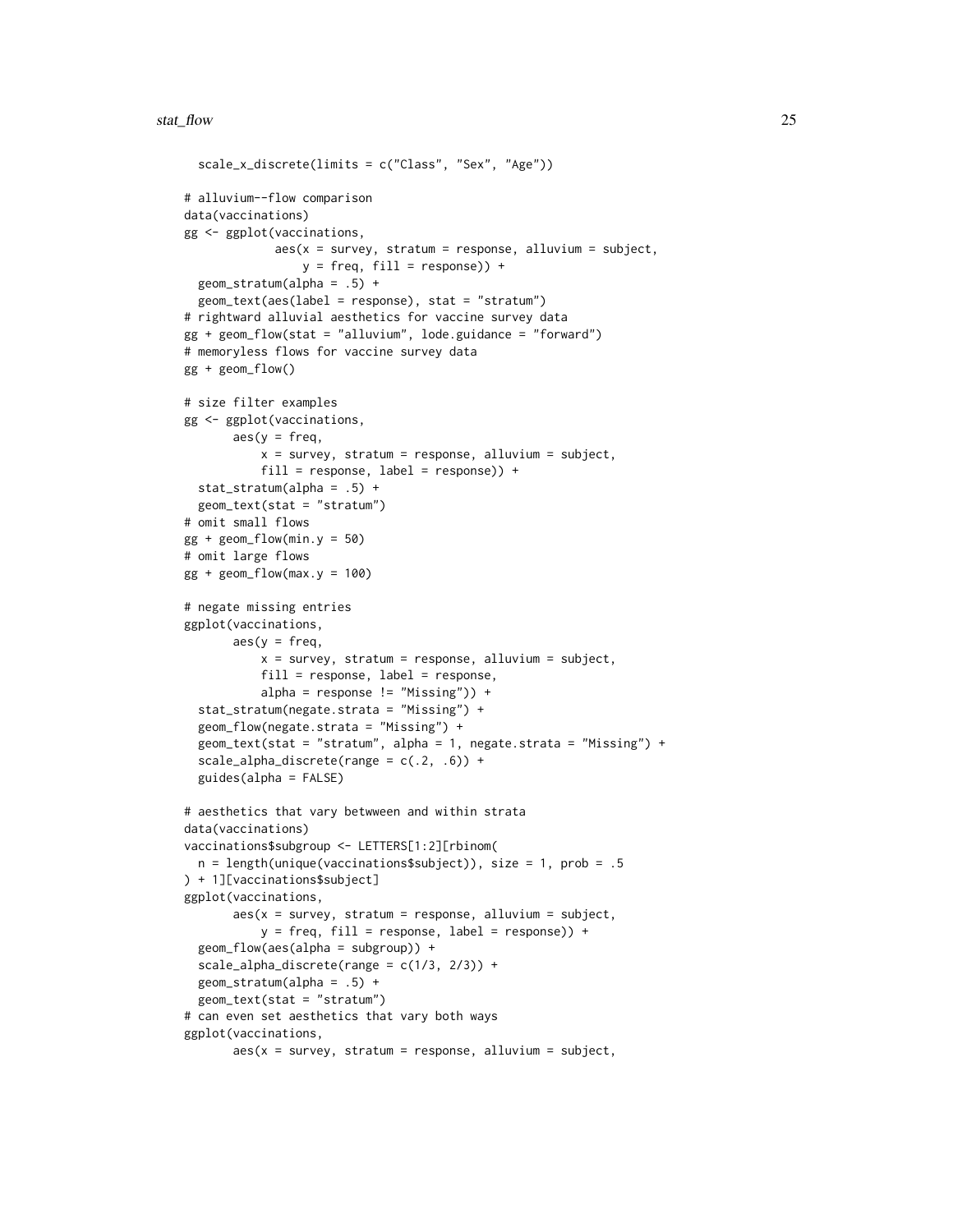```
scale_x_discrete(limits = c("Class", "Sex", "Age"))
# alluvium--flow comparison
data(vaccinations)
gg <- ggplot(vaccinations,
             aes(x = survey, stratum = response, alluvium = subject,y = freq, fill = response) +
 geom_stratum(alpha = .5) +
 geom_text(aes(label = response), stat = "stratum")
# rightward alluvial aesthetics for vaccine survey data
gg + geom_flow(stat = "alluvium", lode.guidance = "forward")
# memoryless flows for vaccine survey data
gg + geom_flow()
# size filter examples
gg <- ggplot(vaccinations,
      \text{aes}(y = \text{freq},x = survey, stratum = response, alluvium = subject,
           fill = response, label = response() +stat_stratum(alpha = .5) +
 geom_text(stat = "stratum")
# omit small flows
gg + geom_flow(min.y = 50)# omit large flows
gg + geom_flow(max.y = 100)# negate missing entries
ggplot(vaccinations,
      aes(y = freq,x = survey, stratum = response, alluvium = subject,
           fill = response, label = response,alpha = response != "Missing")) +
 stat_stratum(negate.strata = "Missing") +
 geom_flow(negate.strata = "Missing") +
 geom_text(stat = "stratum", alpha = 1, negate.strata = "Missing") +
 scale_alpha_discrete(range = c(.2, .6)) +guides(alpha = FALSE)
# aesthetics that vary betwween and within strata
data(vaccinations)
vaccinations$subgroup <- LETTERS[1:2][rbinom(
 n = length(unique(vaccinations$subject)), size = 1, prob = .5
) + 1][vaccinations$subject]
ggplot(vaccinations,
      aes(x = survey, stratum = response, alluvium = subject,y = freq, fill = response, label = response() +geom_flow(aes(alpha = subgroup)) +
 scale_alpha_discrete(range = c(1/3, 2/3)) +
 geom_stratum(alpha = .5) +
 geom_text(stat = "stratum")
# can even set aesthetics that vary both ways
ggplot(vaccinations,
      aes(x = survey, stratum = response, alluvium = subject,
```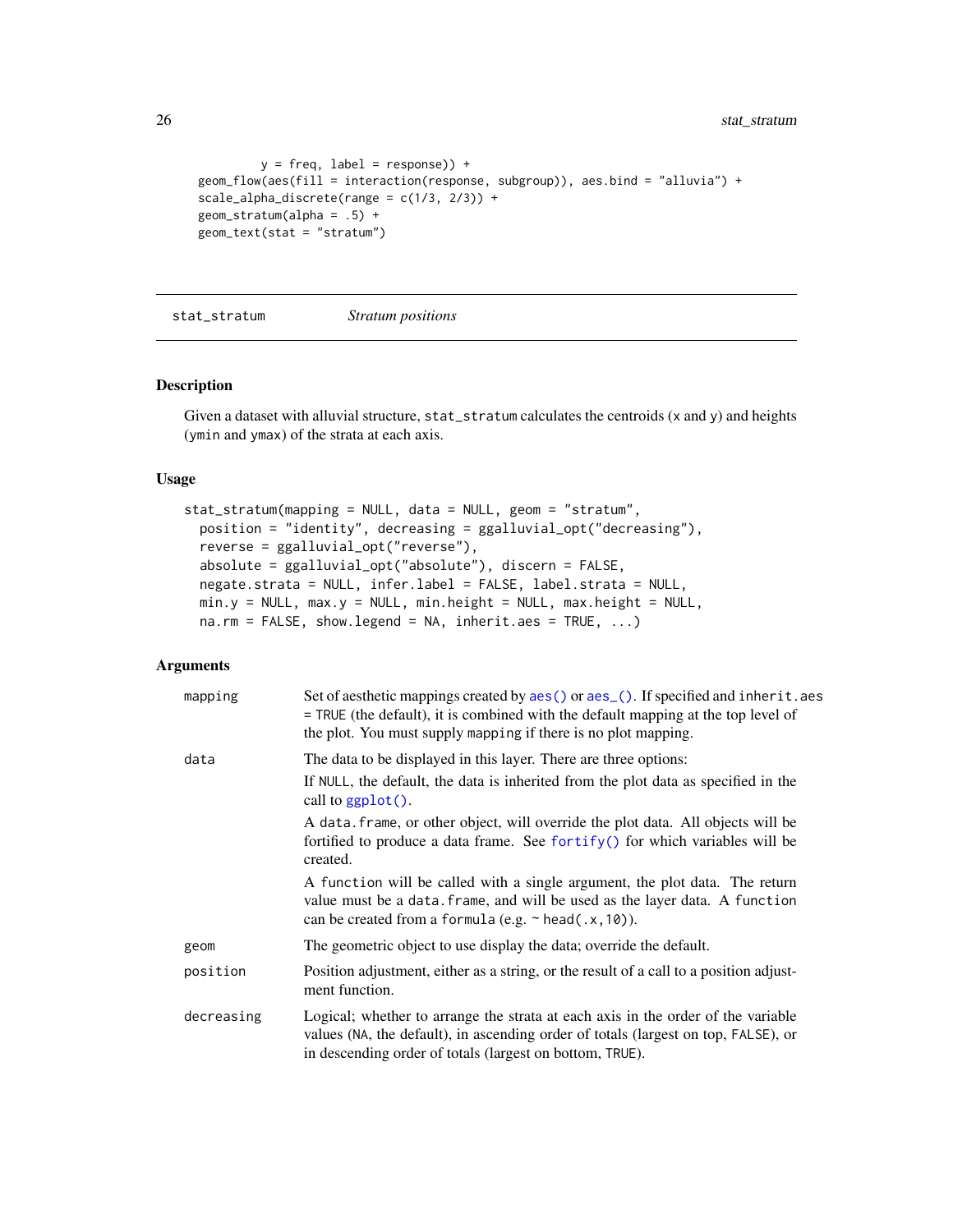```
y = freq, label = response)) +
geom_flow(aes(fill = interaction(response, subgroup)), aes.bind = "alluvia") +
scale_alpha_discrete(range = c(1/3, 2/3)) +
geom_stratum(alpha = .5) +
geom_text(stat = "stratum")
```
<span id="page-25-1"></span>stat\_stratum *Stratum positions*

### Description

Given a dataset with alluvial structure, stat\_stratum calculates the centroids (x and y) and heights (ymin and ymax) of the strata at each axis.

# Usage

```
stat_stratum(mapping = NULL, data = NULL, geom = "stratum",
 position = "identity", decreasing = ggalluvial_opt("decreasing"),
  reverse = ggalluvial_opt("reverse"),
  absolute = ggalluvial_opt("absolute"), discern = FALSE,
 negate.strata = NULL, infer.label = FALSE, label.strata = NULL,
 min.y = NULL, max.y = NULL, min. height = NULL, max. height = NULL,na.rm = FALSE, show.legend = NA, inherit.aes = TRUE, ...)
```

| mapping    | Set of aesthetic mappings created by aes () or aes (). If specified and inherit. aes<br>= TRUE (the default), it is combined with the default mapping at the top level of<br>the plot. You must supply mapping if there is no plot mapping. |
|------------|---------------------------------------------------------------------------------------------------------------------------------------------------------------------------------------------------------------------------------------------|
| data       | The data to be displayed in this layer. There are three options:                                                                                                                                                                            |
|            | If NULL, the default, the data is inherited from the plot data as specified in the<br>call to $ggplot()$ .                                                                                                                                  |
|            | A data. frame, or other object, will override the plot data. All objects will be<br>fortified to produce a data frame. See fortify() for which variables will be<br>created.                                                                |
|            | A function will be called with a single argument, the plot data. The return<br>value must be a data. frame, and will be used as the layer data. A function<br>can be created from a formula (e.g. $\sim$ head(.x, 10)).                     |
| geom       | The geometric object to use display the data; override the default.                                                                                                                                                                         |
| position   | Position adjustment, either as a string, or the result of a call to a position adjust-<br>ment function.                                                                                                                                    |
| decreasing | Logical; whether to arrange the strata at each axis in the order of the variable<br>values (NA, the default), in ascending order of totals (largest on top, FALSE), or<br>in descending order of totals (largest on bottom, TRUE).          |

<span id="page-25-0"></span>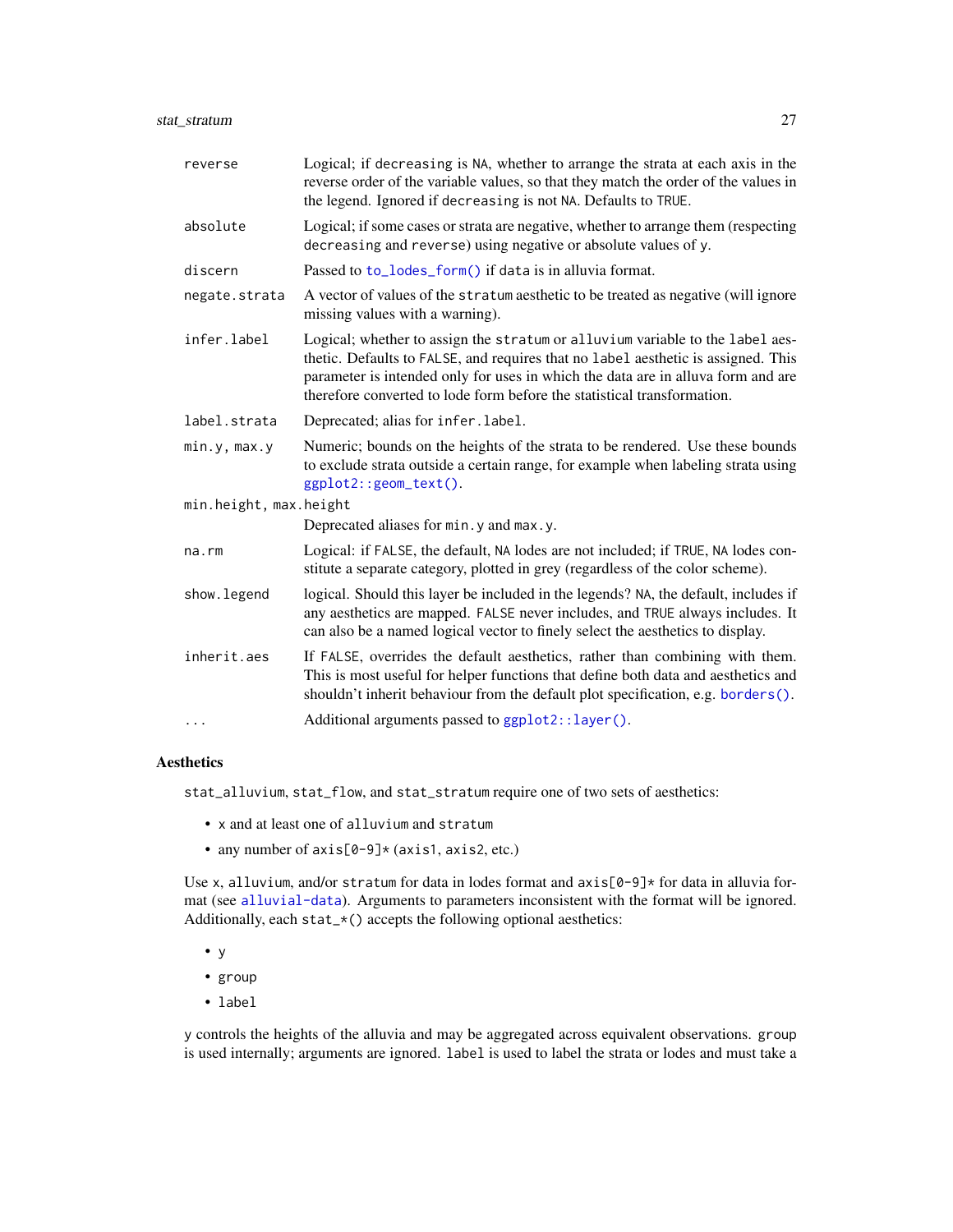<span id="page-26-0"></span>

| reverse                | Logical; if decreasing is NA, whether to arrange the strata at each axis in the<br>reverse order of the variable values, so that they match the order of the values in<br>the legend. Ignored if decreasing is not NA. Defaults to TRUE.                                                                                          |  |
|------------------------|-----------------------------------------------------------------------------------------------------------------------------------------------------------------------------------------------------------------------------------------------------------------------------------------------------------------------------------|--|
| absolute               | Logical; if some cases or strata are negative, whether to arrange them (respecting<br>decreasing and reverse) using negative or absolute values of y.                                                                                                                                                                             |  |
| discern                | Passed to to_lodes_form() if data is in alluvia format.                                                                                                                                                                                                                                                                           |  |
| negate.strata          | A vector of values of the stratum aesthetic to be treated as negative (will ignore<br>missing values with a warning).                                                                                                                                                                                                             |  |
| infer.label            | Logical; whether to assign the stratum or alluvium variable to the label aes-<br>thetic. Defaults to FALSE, and requires that no label aesthetic is assigned. This<br>parameter is intended only for uses in which the data are in alluva form and are<br>therefore converted to lode form before the statistical transformation. |  |
| label.strata           | Deprecated; alias for infer. label.                                                                                                                                                                                                                                                                                               |  |
| min.y, max.y           | Numeric; bounds on the heights of the strata to be rendered. Use these bounds<br>to exclude strata outside a certain range, for example when labeling strata using<br>ggplot2::geom_text().                                                                                                                                       |  |
| min.height, max.height |                                                                                                                                                                                                                                                                                                                                   |  |
|                        | Deprecated aliases for min. y and max. y.                                                                                                                                                                                                                                                                                         |  |
| na.rm                  | Logical: if FALSE, the default, NA lodes are not included; if TRUE, NA lodes con-<br>stitute a separate category, plotted in grey (regardless of the color scheme).                                                                                                                                                               |  |
| show.legend            | logical. Should this layer be included in the legends? NA, the default, includes if<br>any aesthetics are mapped. FALSE never includes, and TRUE always includes. It<br>can also be a named logical vector to finely select the aesthetics to display.                                                                            |  |
| inherit.aes            | If FALSE, overrides the default aesthetics, rather than combining with them.<br>This is most useful for helper functions that define both data and aesthetics and<br>shouldn't inherit behaviour from the default plot specification, e.g. borders().                                                                             |  |
| $\cdots$               | Additional arguments passed to ggplot2::layer().                                                                                                                                                                                                                                                                                  |  |

# Aesthetics

stat\_alluvium, stat\_flow, and stat\_stratum require one of two sets of aesthetics:

- x and at least one of alluvium and stratum
- any number of axis[0-9]\* (axis1, axis2, etc.)

Use x, alluvium, and/or stratum for data in lodes format and  $axis[0-9]$ \* for data in alluvia format (see [alluvial-data](#page-1-1)). Arguments to parameters inconsistent with the format will be ignored. Additionally, each stat\_ $*($ ) accepts the following optional aesthetics:

- y
- group
- label

y controls the heights of the alluvia and may be aggregated across equivalent observations. group is used internally; arguments are ignored. label is used to label the strata or lodes and must take a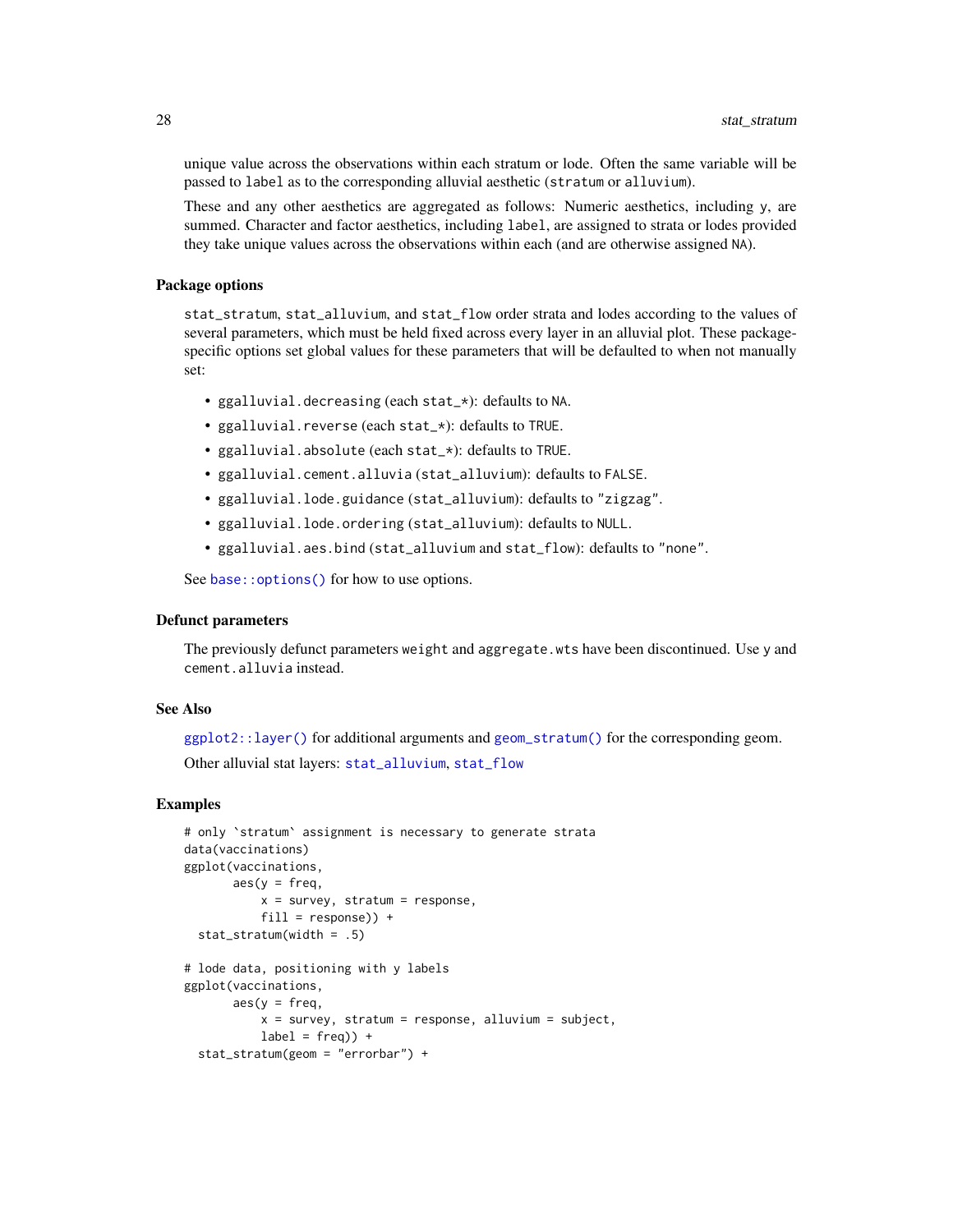unique value across the observations within each stratum or lode. Often the same variable will be passed to label as to the corresponding alluvial aesthetic (stratum or alluvium).

These and any other aesthetics are aggregated as follows: Numeric aesthetics, including y, are summed. Character and factor aesthetics, including label, are assigned to strata or lodes provided they take unique values across the observations within each (and are otherwise assigned NA).

#### Package options

stat\_stratum, stat\_alluvium, and stat\_flow order strata and lodes according to the values of several parameters, which must be held fixed across every layer in an alluvial plot. These packagespecific options set global values for these parameters that will be defaulted to when not manually set:

- ggalluvial.decreasing (each stat\_\*): defaults to NA.
- ggalluvial.reverse (each stat\_\*): defaults to TRUE.
- ggalluvial.absolute (each stat\_\*): defaults to TRUE.
- ggalluvial.cement.alluvia (stat\_alluvium): defaults to FALSE.
- ggalluvial.lode.guidance (stat\_alluvium): defaults to "zigzag".
- ggalluvial.lode.ordering (stat\_alluvium): defaults to NULL.
- ggalluvial.aes.bind (stat\_alluvium and stat\_flow): defaults to "none".

See base:: options() for how to use options.

#### Defunct parameters

The previously defunct parameters weight and aggregate.wts have been discontinued. Use y and cement.alluvia instead.

#### See Also

[ggplot2::layer\(\)](#page-0-0) for additional arguments and [geom\\_stratum\(\)](#page-11-1) for the corresponding geom. Other alluvial stat layers: [stat\\_alluvium](#page-15-1), [stat\\_flow](#page-21-1)

```
# only `stratum` assignment is necessary to generate strata
data(vaccinations)
ggplot(vaccinations,
       \text{aes}(y = \text{freq},x = survey, stratum = response,
           fill = response) +
 stat_stratum(width = .5)
# lode data, positioning with y labels
ggplot(vaccinations,
       \text{aes}(y = \text{freq},x = survey, stratum = response, alluvium = subject,
           label = freq) +
 stat_stratum(geom = "errorbar") +
```
<span id="page-27-0"></span>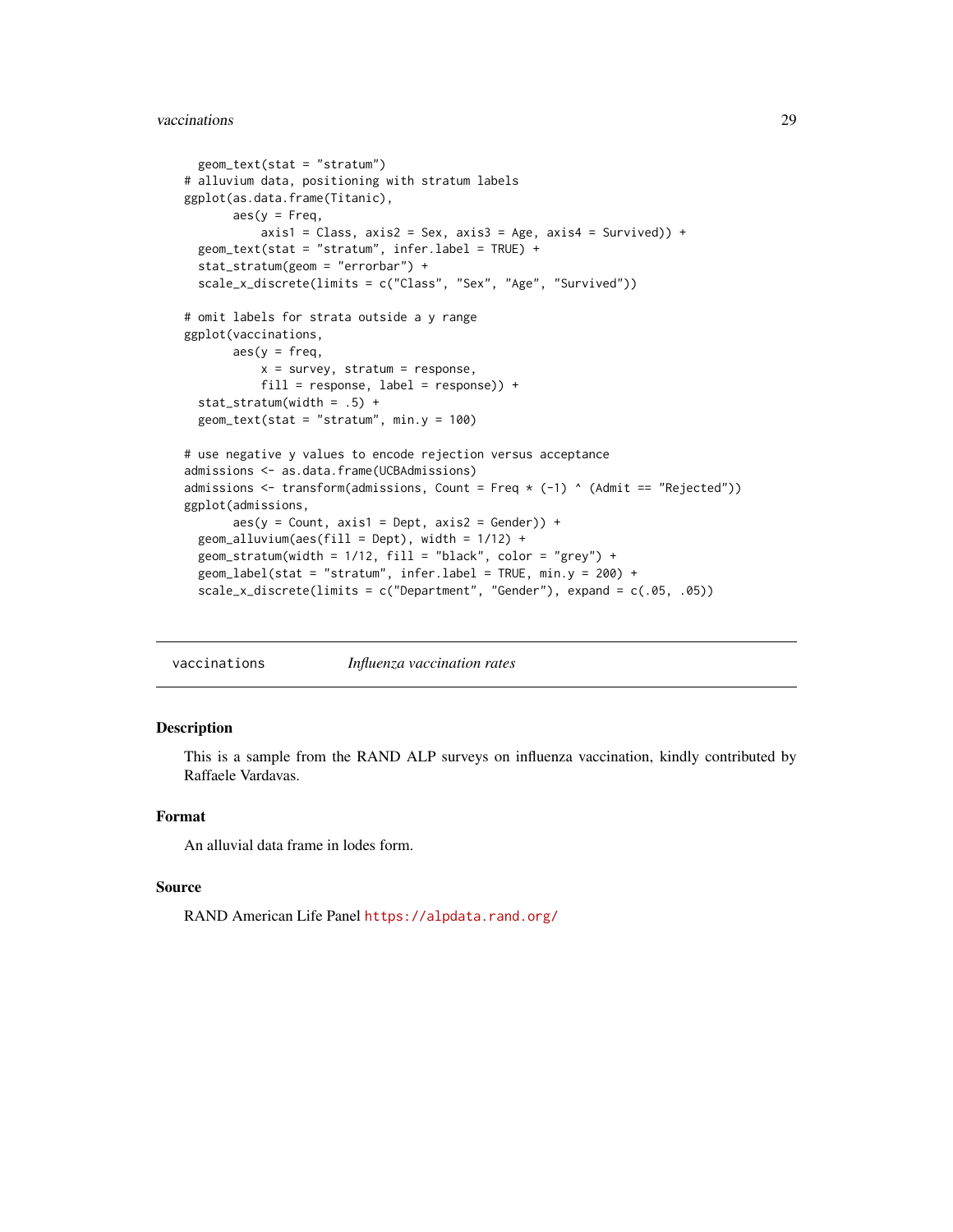#### <span id="page-28-0"></span>vaccinations 29

```
geom_text(stat = "stratum")
# alluvium data, positioning with stratum labels
ggplot(as.data.frame(Titanic),
       \text{aes}(y = \text{Freq},axis1 = Class, axis2 = Sex, axis3 = Age, axis4 = Survey() +geom_text(stat = "stratum", infer.label = TRUE) +
 stat_stratum(geom = "errorbar") +
 scale_x_discrete(limits = c("Class", "Sex", "Age", "Survived"))
# omit labels for strata outside a y range
ggplot(vaccinations,
       \text{aes}(y = \text{freq},x = survey, stratum = response,
           fill = response, label = response() +stat_stratum(width = .5) +
 geom_text(stat = "stratum", min.y = 100)
# use negative y values to encode rejection versus acceptance
admissions <- as.data.frame(UCBAdmissions)
admissions \le transform(admissions, Count = Freq \star (-1) \land (Admit == "Rejected"))
ggplot(admissions,
       \text{aes}(y = \text{Count}, \text{axis1} = \text{Depth}, \text{axis2} = \text{Gender}) +
 geom\_alluvium(aes(fill = Dept), width = 1/12) +geom_stratum(width = 1/12, fill = "black", color = "grey") +
 geom_label(stat = "stratum", infer.label = TRUE, min.y = 200) +
 scale_x_discrete(limits = c("Department", "Gender"), expand = c(.05, .05))
```
vaccinations *Influenza vaccination rates*

#### Description

This is a sample from the RAND ALP surveys on influenza vaccination, kindly contributed by Raffaele Vardavas.

#### Format

An alluvial data frame in lodes form.

#### Source

RAND American Life Panel <https://alpdata.rand.org/>